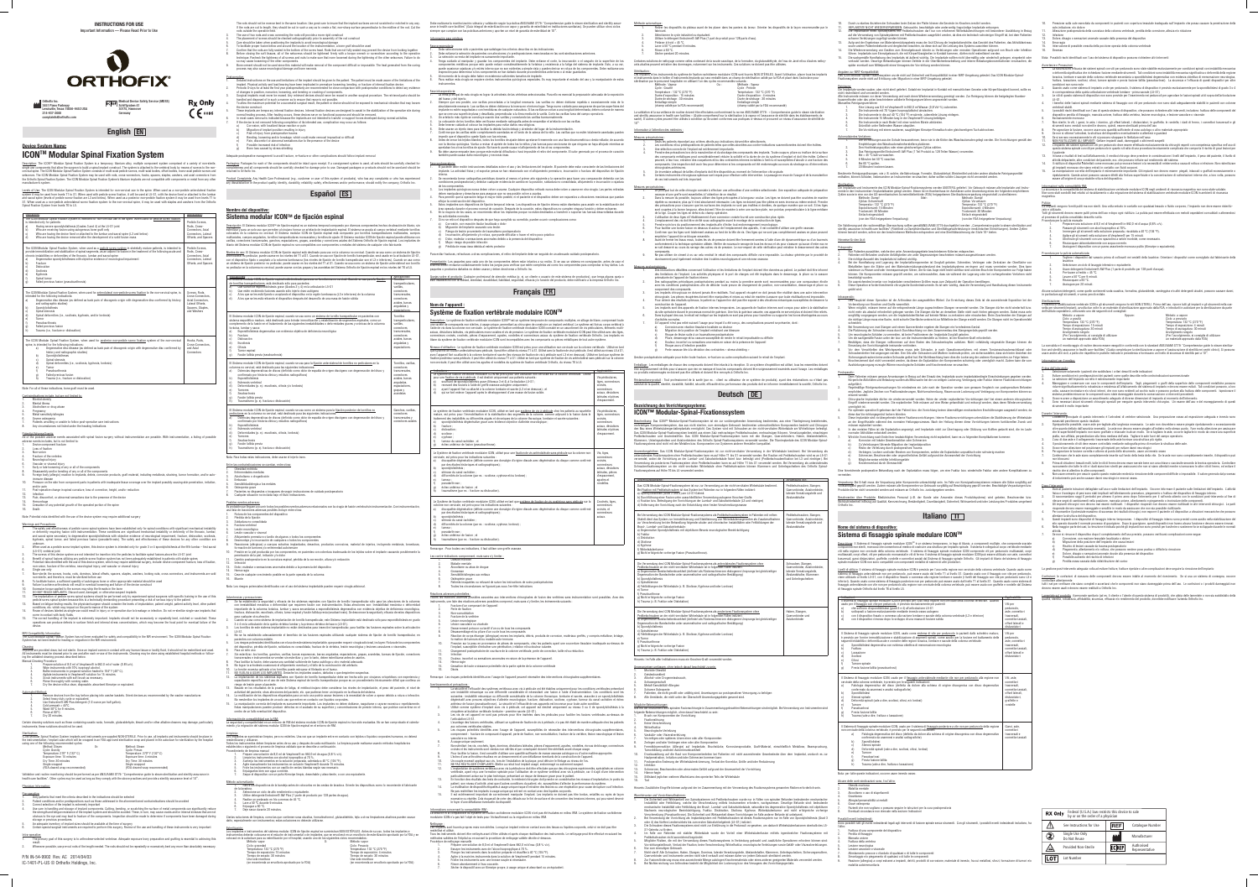## **ICONTM Modular Spinal Fixation System**

Description: The ICON<sup>TM</sup> Modular Spinal Fixation System is a temporary, titanium alloy, multiple component system comprised of a variety of non-sterile, ts that allow the surgeon to build a spinal implant construct. The system is attached to the vertebral body by means of screws to the non-

| cervical spine. The ICON Modular Spinal Fixation System consists of multi-axial pedicle screws, multi-axial bodies, offset bodies, mono-axial pedicle screws and<br>setscrews. The ICON Modular Spinal Fixation System may be used with rods, cross-connectors, hooks, spacers, staples, washers, and axial connectors from                                                                                                                                                                                                                                                                                                                       |                                             | returned to Orthofix Inc.                                                                                                                                                                                                                                                                                                |                               |
|---------------------------------------------------------------------------------------------------------------------------------------------------------------------------------------------------------------------------------------------------------------------------------------------------------------------------------------------------------------------------------------------------------------------------------------------------------------------------------------------------------------------------------------------------------------------------------------------------------------------------------------------------|---------------------------------------------|--------------------------------------------------------------------------------------------------------------------------------------------------------------------------------------------------------------------------------------------------------------------------------------------------------------------------|-------------------------------|
| the Orthofix Spinal Fixation System. The ICON Modular Spinal Fixation System's titanium implants are not compatible with components or metal from any other<br>manufacturer's system.                                                                                                                                                                                                                                                                                                                                                                                                                                                             |                                             | Product Complaints: Any Health Care Professional (e.g., customer or user of this system of products), who has any complaints or who has experien<br>any dissatisfaction in the product quality, identity, durability, reliability, safety, effectiveness and/or performance, should notify the company, Orthofix Inc.    |                               |
| Levels of Use: The ICON Modular Spinal Fixation System is intended for non-cervical use in the spine. When used as a non-pedicle anterolateral fixation<br>system it may be used from levels T1 to S1. When used with pedicle screw fixation, it will be used at L5-S1, with the device fixed or attached to the lumbar<br>and sacral spine (levels of pedicle screw fixation are L3 and below). When used as a posterior non-pedicle fixation system it may be used from levels T1 to<br>S1. When used as a non-pedicle anterolateral screw fixation system to the non-cervical spine, it may be used with staples and washers from the Orthofix |                                             | <b>Español ES</b>                                                                                                                                                                                                                                                                                                        |                               |
| Spinal Fixation System from levels T6 to L5.                                                                                                                                                                                                                                                                                                                                                                                                                                                                                                                                                                                                      |                                             | <b>Nombre del dispositivo:</b>                                                                                                                                                                                                                                                                                           |                               |
| Indications:<br>The ICON Modular Spinal Fixation System is intended for non-cervical use in the spine. When used for pedicle screw fixation,                                                                                                                                                                                                                                                                                                                                                                                                                                                                                                      | Applicability:                              | Sistema modular ICON™ de fijación espinal                                                                                                                                                                                                                                                                                |                               |
| is intended only for patients:<br>Having severe spondylolisthesis (Grades 3 and 4) at the L5-S1 joint<br>a)                                                                                                                                                                                                                                                                                                                                                                                                                                                                                                                                       | Pedicle Screws,<br>Rods, Cross-             | Descripción: El Sistema modular ICON™ de fijación espinal es un sistema temporal compuesto por diversos componentes hechos de aleación de titanio,                                                                                                                                                                       |                               |
| b)<br>Who are receiving fusion using autogenous bone graft only<br>C)<br>Who are having the device fixed or attached to the lumbar and sacral spine (L3 and below)                                                                                                                                                                                                                                                                                                                                                                                                                                                                                | Connectors, Axial<br>Connectors, Lateral    | esterilizar y para un solo uso que permiten al cirujano formar un artefacto de implantación espinal. El sistema se acopla al cuerpo vertebral mediante torni<br>colocados en la columna no cervical. El Sistema modular ICON de fijación espinal está compuesto por tornillos transpediculares multiaxiales, cuer        |                               |
| d)<br>Who are having the device removed after the development of a solid fusion mass                                                                                                                                                                                                                                                                                                                                                                                                                                                                                                                                                              | Offsets, and Spacers                        | multiaxiales, cuerpos angulados, tornillos transpediculares monoaxiales y tornillos de ajuste. El Sistema modular ICON de fijación espinal puede utilizarse<br>varillas, conectores transversales, ganchos, espaciadores, grapas, arandelas y conectores axiales del Sistema Orthofix de fijación espinal. Los implantes |                               |
| The ICON Modular Spinal Fixation System, when used as a pedicle screw system in skeletally mature patients, is intended to                                                                                                                                                                                                                                                                                                                                                                                                                                                                                                                        | Pedicle Screws.                             | titanio del Sistema modular ICON de fijación espinal no son compatibles con componentes o metales del sistema de cualquier otro fabricante.                                                                                                                                                                              |                               |
| provide immobilization and stabilization of spinal segments, as an adjunct to fusion in the treatment of the following acute and<br>chronic instabilities or deformities of the thoracic, lumbar and sacral spine:                                                                                                                                                                                                                                                                                                                                                                                                                                | Rods, Cross-<br>Connectors, Axial           | Niveles de uso: El Sistema modular ICON de fijación espinal está destinado para uso en la columna no cervical. Cuando se usa como un sistema de fijac<br>anterolateral no pedicular, puede usarse en los niveles del T1 al S1. Cuando se usa con fijación de tornillo transpedicular, será usado en la articulación L5-  |                               |
| Degenerative spondylolistheses with objective evidence of neurological impairment<br>a)<br>b)<br>Fracture                                                                                                                                                                                                                                                                                                                                                                                                                                                                                                                                         | Connectors, Lateral<br>Offsets, and Spacers | con el dispositivo fijado o acoplado a la columna lumbosacra (los niveles de fijación de tornillo transpedicular son el L3 e inferiores). Cuando se usa co<br>un sistema de fijación posterior no pedicular, puede usarse en los niveles del T1 al S1. Cuando se usa como un sistema de fijación anterolateral con torr  |                               |
| C)<br>Dislocation<br>$\overline{d}$ )<br>Scoliosis                                                                                                                                                                                                                                                                                                                                                                                                                                                                                                                                                                                                |                                             | no pedicular en la columna no cervical, puede usarse con las grapas y las arandelas del Sistema Orthofix de fijación espinal en los niveles del T6 al L5.                                                                                                                                                                |                               |
| e)<br>Kyphosis<br>f)<br>Spinal tumor                                                                                                                                                                                                                                                                                                                                                                                                                                                                                                                                                                                                              |                                             | Indicaciones:<br>El Sistema modular ICON de fijación espinal está destinado para uso en la columna no cervical. Cuando se usa para la fijación                                                                                                                                                                           | Aplicabilidad<br>Tornillos    |
| g)<br>Failed previous fusion (pseudoarthrosis)                                                                                                                                                                                                                                                                                                                                                                                                                                                                                                                                                                                                    |                                             | de tornillos transpediculares, está destinado sólo para pacientes:<br>Que sufran de espondilolistesis grave (Grados 3 y 4) en la articulación L5-S1<br>a)                                                                                                                                                                | transpediculares<br>varillas, |
| The ICON Modular Spinal Fixation System, when used for anterolateral non-pedicle screw fixation to the non-cervical spine, is<br>intended for the following indications:                                                                                                                                                                                                                                                                                                                                                                                                                                                                          | Screws, Rods,<br>Cross-Connectors.          | b)<br>Que estén recibiendo fusiones usando sólo inierto óseo autógeno<br>C)<br>A los que se les está fijando o acoplando el dispositivo en la región lumbosacra (L3 e inferiores) de la columna                                                                                                                          | conectores<br>transversales.  |
| Degenerative disc disease (as defined as back pain of discogenic origin with degenerative disc confirmed by history<br>a)<br>and radiographic studies)                                                                                                                                                                                                                                                                                                                                                                                                                                                                                            | Axial Connectors,<br>Lateral Offsets.       | d)<br>A los que se les está retirando el dispositivo después del desarrollo de una masa de fusión sólida                                                                                                                                                                                                                 | conectores<br>axiales, barras |
| b)<br>Spondylolisthesis<br>C)<br>Spinal stenosis                                                                                                                                                                                                                                                                                                                                                                                                                                                                                                                                                                                                  | Spacers, Staples,<br>and Washers            |                                                                                                                                                                                                                                                                                                                          | anguladas y<br>espaciadores   |
| d)<br>Spinal deformities (i.e., scoliosis, kyphosis, and/or lordosis)<br>e)<br>Tumor                                                                                                                                                                                                                                                                                                                                                                                                                                                                                                                                                              |                                             | El Sistema modular ICON de fijación espinal, cuando se usa como un sistema de tornillo transpedicular en pacientes con                                                                                                                                                                                                   | Tornillos                     |
| f)<br>Pseudoarthrosis<br>g)<br>Failed previous fusion                                                                                                                                                                                                                                                                                                                                                                                                                                                                                                                                                                                             |                                             | sistema esquelético maduro, está destinado para brindar inmovilización y estabilización de segmentos espinales, como un<br>complemento de la fusión en el tratamiento de las siguientes inestabilidades o deformidades graves y crónicas de la columna                                                                   | transpediculares<br>varillas, |
| h)<br>Trauma (i.e., fracture or dislocation)                                                                                                                                                                                                                                                                                                                                                                                                                                                                                                                                                                                                      |                                             | torácica, lumbar y sacra:<br>Espondilolistesis degenerativa con evidencia objetiva de deficiencia neurológica<br>a)                                                                                                                                                                                                      | conectores<br>transversales.  |
| The ICON Modular Spinal Fixation System, when used for posterior non-pedicle screw fixation system of the non-cervical                                                                                                                                                                                                                                                                                                                                                                                                                                                                                                                            | Hooks, Rods,                                | b)<br>Fractura<br>C)<br>Dislocación                                                                                                                                                                                                                                                                                      | conectores<br>axiales, barras |
| spine, is intended for the following indications:<br>Degenerative disc disease (as defined as back pain of discogenic origin with degenerative disc confirmed by<br>a)                                                                                                                                                                                                                                                                                                                                                                                                                                                                            | Cross-Connectors.<br>and Axial              | d)<br>Escoliosis<br>e)<br>Cifosis                                                                                                                                                                                                                                                                                        | anguladas y<br>espaciadores.  |
| history and radiographic studies)<br>b)<br>Spondylolistheses                                                                                                                                                                                                                                                                                                                                                                                                                                                                                                                                                                                      | Connectors                                  | f)<br>Tumor espinal<br>Fusión fallida previa (seudoartrosis)<br>g)                                                                                                                                                                                                                                                       |                               |
| C)<br>Spinal stenosis<br>d)<br>Spinal deformities (i.e., scoliosis, kyphosis, lordosis)                                                                                                                                                                                                                                                                                                                                                                                                                                                                                                                                                           |                                             | El Sistema modular ICON de fijación espinal, cuando se usa para la fijación anterolateral de tornillos no pediculares en la                                                                                                                                                                                              | Tornillos, varillas           |
| e)<br>Tumor<br>f)<br>Pseudoarthrosis                                                                                                                                                                                                                                                                                                                                                                                                                                                                                                                                                                                                              |                                             | columna no cervical, está destinado para las siguientes indicaciones:<br>Dolencias degenerativas de discos (definido como dolor de espalda de origen discógeno con degeneración del disco y<br>a)                                                                                                                        | conectores<br>transversales.  |
| g)<br>Failed previous fusion<br>h)<br>Trauma (i.e., fracture or dislocation)                                                                                                                                                                                                                                                                                                                                                                                                                                                                                                                                                                      |                                             | confirmado por historia clínica y estudios radiográficos)<br>b)<br>Espondilolistesis                                                                                                                                                                                                                                     | conectores<br>axiales, barras |
| Note: For all of these indications, bone graft must be used.                                                                                                                                                                                                                                                                                                                                                                                                                                                                                                                                                                                      |                                             | C)<br>Estenosis vertebral<br>d)<br>Deformidades (p. ej.: escoliosis, cifosis y/o lordosis)                                                                                                                                                                                                                               | anguladas,<br>espaciadores,   |
| Contraindications include, but are not limited to:                                                                                                                                                                                                                                                                                                                                                                                                                                                                                                                                                                                                |                                             | e)<br>Tumores<br>f<br>Seudoartrosis                                                                                                                                                                                                                                                                                      | grapas y<br>arandelas         |
| Morbid obesity<br>1.<br>2.<br>Mental illness                                                                                                                                                                                                                                                                                                                                                                                                                                                                                                                                                                                                      |                                             | g)<br>Fusión fallida previa<br>h)<br>Traumatismo (p. ej. fractura o dislocación)                                                                                                                                                                                                                                         |                               |
| 3.<br>Alcoholism or drug abuse<br>4.<br>Pregnancy                                                                                                                                                                                                                                                                                                                                                                                                                                                                                                                                                                                                 |                                             | El Sistema modular ICON de fijación espinal, cuando se usa como un sistema para la fijación posterior de tornillos no                                                                                                                                                                                                    | Ganchos, varillas.            |
| 5.<br>Metal sensitivity/allergies<br>6.<br>Severe osteopenia                                                                                                                                                                                                                                                                                                                                                                                                                                                                                                                                                                                      |                                             | pediculares en la columna no cervical, está destinado para las siguientes indicaciones:<br>Dolencias degenerativas de discos (definido como dolor de espalda de origen discógeno con degeneración del disco y<br>a)                                                                                                      | conectores<br>transversales y |
| 7.<br>Patients unwilling or unable to follow post-operative care instructions<br>8.<br>Any circumstances not listed under the heading Indications                                                                                                                                                                                                                                                                                                                                                                                                                                                                                                 |                                             | confirmado por historia clínica y estudios radiográficos)<br>Espondilolistesis<br>b)                                                                                                                                                                                                                                     | conectores axiale:            |
| Potential Adverse Events:                                                                                                                                                                                                                                                                                                                                                                                                                                                                                                                                                                                                                         |                                             | Estenosis vertebral<br>C)<br>d)<br>Deformidades (p. ej.: escoliosis, cifosis, lordosis)                                                                                                                                                                                                                                  |                               |
| All of the possible adverse events associated with spinal fusion surgery without instrumentation are possible. With instrumentation, a listing of possible<br>adverse events includes, but is not limited to:                                                                                                                                                                                                                                                                                                                                                                                                                                     |                                             | e)<br>Tumores<br>f)<br>Seudoartrosis                                                                                                                                                                                                                                                                                     |                               |
| 1.<br>Device component fracture<br>2.<br>Loss of fixation                                                                                                                                                                                                                                                                                                                                                                                                                                                                                                                                                                                         |                                             | g)<br>Fusión fallida previa<br>h)<br>Traumatismo (p. ej. fractura o dislocación)                                                                                                                                                                                                                                         |                               |
| 3.<br>Non-union<br>4.<br>Fracture of the vertebra                                                                                                                                                                                                                                                                                                                                                                                                                                                                                                                                                                                                 |                                             | Nota: Para todas estas indicaciones, debe usarse el injerto óseo.                                                                                                                                                                                                                                                        |                               |
| 5.<br>Neurological injury<br>6.<br>Vascular or visceral injury                                                                                                                                                                                                                                                                                                                                                                                                                                                                                                                                                                                    |                                             | Entre las contraindicaciones se cuentan, entre otras:                                                                                                                                                                                                                                                                    |                               |
| 7.<br>Early or late loosening of any or all of the components<br>8.<br>Disassembly and/or bending of any or all of the components                                                                                                                                                                                                                                                                                                                                                                                                                                                                                                                 |                                             | Obesidad mórbida<br>1.<br>2.<br>Enfermedades mentales                                                                                                                                                                                                                                                                    |                               |
| 9.<br>Foreign body (allergic) reaction to implants, debris, corrosion products, graft material, including metallosis, straining, tumor formation, and/or auto-<br>immune disease                                                                                                                                                                                                                                                                                                                                                                                                                                                                  |                                             | 3.<br>Alcoholismo o drogadicción<br>4.<br>Embarazo                                                                                                                                                                                                                                                                       |                               |
| 10.<br>Pressure on the skin from component parts in patients with inadequate tissue coverage over the implant possibly causing skin penetration, irritation,<br>and/or pain                                                                                                                                                                                                                                                                                                                                                                                                                                                                       |                                             | 5.<br>Sensibilidad/alergia a los metales<br>6.<br>Osteopenia grave                                                                                                                                                                                                                                                       |                               |
| 11.<br>Post-operative change in spinal curvature, loss of correction, height, and/or reduction<br>12.<br>Infection                                                                                                                                                                                                                                                                                                                                                                                                                                                                                                                                |                                             | 7.<br>Pacientes no dispuestos o incapaces de seguir instrucciones de cuidado postoperatorio<br>8.<br>Cualquier situación no incluida bajo el título Indicaciones.                                                                                                                                                        |                               |
| 13.<br>Pain, discomfort, or abnormal sensations due to the presence of the device<br>14.<br>Hemorrhage                                                                                                                                                                                                                                                                                                                                                                                                                                                                                                                                            |                                             | Posibles eventos adversos:                                                                                                                                                                                                                                                                                               |                               |
| 15.<br>Cessation of any potential growth of the operated portion of the spine<br>16.<br>Death                                                                                                                                                                                                                                                                                                                                                                                                                                                                                                                                                     |                                             | Es probable que lleguen a ocurrir todos los posibles eventos adversos relacionados con la cirugía de fusión vertebral sin instrumentación. Con instrumentaci<br>una lista de reacciones adversas posibles incluye entre otras:                                                                                           |                               |
| Note: Potential risks identified with the use of the device system may require additional surgery                                                                                                                                                                                                                                                                                                                                                                                                                                                                                                                                                 |                                             | Rotura de los componentes del dispositivo<br>1.<br>Pérdida de la fijación<br>2.                                                                                                                                                                                                                                          |                               |
| <b>Warnings and Precautions:</b><br>The safety and effectiveness of pedicle screw spinal systems have been established only for spinal conditions with significant mechanical instability<br>1.                                                                                                                                                                                                                                                                                                                                                                                                                                                   |                                             | 3.<br>Soldadura no consolidada<br>4.<br>Fractura vertebral                                                                                                                                                                                                                                                               |                               |
| or deformity requiring fusion with instrumentation. These conditions are: significant mechanical instability or deformity of the thoracic, lumbar,<br>and sacral spine secondary to degenerative spondylolisthesis with objective evidence of neurological impairment, fracture, dislocation, scoliosis,                                                                                                                                                                                                                                                                                                                                          |                                             | 5.<br>Lesión neurológica<br>6.<br>Lesión vascular o visceral                                                                                                                                                                                                                                                             |                               |
| kyphosis, spinal tumor, and failed previous fusion (pseudarthrosis). The safety and effectiveness of these devices for any other condition are<br>unknown.                                                                                                                                                                                                                                                                                                                                                                                                                                                                                        |                                             | 7.<br>Aflojamiento prematuro o tardío de algunos o todos los componentes<br>8.<br>Desmontaje y/o incurvación de cualquiera o todos los componentes                                                                                                                                                                       |                               |
| 2.<br>When used as a pedicle screw implant system, this device system is intended only for grade 3 or 4 spondylolisthesis at the fifth lumbar - first sacral<br>(L5-S1) vertebral joint                                                                                                                                                                                                                                                                                                                                                                                                                                                           |                                             | Reacciones (alérgicas) a cuerpos extraños implantados, desechos, productos corrosivos, material de injertos, incluyendo metalosis, torcedu<br>9.<br>formación de tumores y/o enfermedad autoinmune<br>10.                                                                                                                |                               |
| 3.<br>The screws of this device system are not intended for insertion into the pedicles to facilitate spinal fusions above the L5-S1 joint<br>4.<br>Benefit of spinal fusions utilizing any pedicle screw fixation system has not been adequately established in patients with stable spines                                                                                                                                                                                                                                                                                                                                                      |                                             | Presión en la piel producida por los componentes, en pacientes con cobertura inadecuada de los tejidos sobre el implante causando posiblement<br>penetración de la piel, irritación y/o dolor<br>11.<br>Cambio postoperatorio en la curvatura espinal, pérdida de la corrección, altura y/o reducción                    |                               |
| 5.<br>Potential risks identified with the use of this device system, which may require additional surgery, include: device component fracture, loss of fixation,<br>non-union, fracture of the vertebra, neurological injury, and vascular or visceral injury                                                                                                                                                                                                                                                                                                                                                                                     |                                             | 12.<br>Infección<br>13.<br>Dolor, malestar o sensaciones anormales debido a la presencia del dispositivo                                                                                                                                                                                                                 |                               |
| 6.<br>Single use only<br>7.<br>Non-sterile; the screws, hooks, rods, dominos, lateral offsets, spacers, staples, washers, locking nuts, cross connectors, and instruments are sold                                                                                                                                                                                                                                                                                                                                                                                                                                                                |                                             | 14.<br>Hemorragia<br>Cese de cualquier crecimiento posible en la parte operada de la columna<br>15.                                                                                                                                                                                                                      |                               |
| non-sterile, and therefore, must be sterilized before use<br>8.<br>To facilitate fusion, a sufficient quantity of autologous bone or other appropriate material should be used                                                                                                                                                                                                                                                                                                                                                                                                                                                                    |                                             | 16.<br>Muerte                                                                                                                                                                                                                                                                                                            |                               |
| 9.<br>Failure to achieve arthrodesis will result in eventual loosening and failure of the device construct<br>10.<br>Excessive torque applied to the screws may strip the threads in the bone                                                                                                                                                                                                                                                                                                                                                                                                                                                     |                                             | Nota: Los riesgos potenciales identificados con el uso del sistema implantable pueden requerir cirugía adicional                                                                                                                                                                                                         |                               |
| 11.<br>DO NOT REUSE IMPLANTS. Discard used, damaged, or otherwise suspect implants<br>12.<br>The implantation of pedicle screw spinal systems should be performed only by experienced spinal surgeons with specific training in the use of this                                                                                                                                                                                                                                                                                                                                                                                                   |                                             | Advertencias y precauciones:                                                                                                                                                                                                                                                                                             |                               |
| pedicle screw spinal system because this is a technically demanding procedure presenting a risk of serious injury to the patient<br>13.<br>Based on fatigue testing results, the physician/surgeon should consider the levels of implantation, patient weight, patient activity level, other patient                                                                                                                                                                                                                                                                                                                                              |                                             | Se ha establecido la seguridad y eficacia de los sistemas espinales con fijación de tornillo transpedicular sólo para las afecciones de la colun<br>1.<br>con inestabilidad mecánica o deformidad que requieren fusión con instrumentación. Estas afecciones son: Inestabilidad mecánica o deformi                       |                               |
| conditions, etc. which may impact on the performance of the system<br>Reuse of devices labeled as single-use could result in injury or re-operation due to breakage or infection. Do not re-sterilize single-use implants that<br>14.                                                                                                                                                                                                                                                                                                                                                                                                             |                                             | importante de la columna torácica, lumbar y sacra secundarias a espondilolistesis degenerativa con evidencia objetiva de deficiencia neurológ<br>fractura, dislocación, escoliosis, cifosis, tumor espinal y fusión fallida previa (seudoartrosis). Se desconoce la seguridad y eficacia de estos dispositi              |                               |
| come in contact with body fluids.<br>The correct handling of the implant is extremely important. Implants should not be excessively or repeatedly bent, notched or scratched. These<br>15.                                                                                                                                                                                                                                                                                                                                                                                                                                                        |                                             | para cualquier otra afección.<br>2.<br>Cuando se usa como sistema de implantación de tornillo transpedicular, este Sistema implantable está destinado sólo para espondilolistesis en gra                                                                                                                                 |                               |
| operations can produce defects in surface finish and internal stress concentrations, which may become the focal point for eventual failure of the<br>device.                                                                                                                                                                                                                                                                                                                                                                                                                                                                                      |                                             | 3 ó 4 en la articulación de la quinta vértebra lumbar y la primera vértebra del sacro (L5-S1).<br>3.<br>Los tornillos de este sistema implantable no están destinados para inserción transpedicular, para facilitar las fusiones espinales sobre la articulad                                                            |                               |
| <b>MRI Compatibility Information</b><br>The ICON Modular Spinal Fixation System has not been evaluated for safety and compatibility in the MR environment. The ICON Modular Spinal Fixation                                                                                                                                                                                                                                                                                                                                                                                                                                                       |                                             | $L5-S1.$<br>No se ha establecido adecuadamente el beneficio de las fusiones espinales utilizando cualquier sistema de fijación de tornillo transpedicular,<br>4.                                                                                                                                                         |                               |
| System has not been tested for heating or migration in the MR environment.                                                                                                                                                                                                                                                                                                                                                                                                                                                                                                                                                                        |                                             | pacientes con columna estable.<br>5.<br>Los riesgos potenciales identificados con el uso de este sistema implantable, que pueden requerir cirugía adicional, incluyen: Rotura de los componer                                                                                                                            |                               |
| Implants are provided clean, but not sterile. Once an implant comes in contact with any human tissue or bodily fluid, it should not be resterilized and used.                                                                                                                                                                                                                                                                                                                                                                                                                                                                                     |                                             | del dispositivo, pérdida de fijación, soldadura no consolidada, fractura de la vértebra, lesión neurológica y lesiones vasculares o viscerales,<br>6.<br>Para un sólo uso.                                                                                                                                               |                               |
| All instruments must be cleaned prior to use and after each re-use of the instruments. Cleaning may be done using established hospital methods or follow-<br>ing the validated cleaning process described below.                                                                                                                                                                                                                                                                                                                                                                                                                                  |                                             | 7.<br>Sin esterilizar; los tornillos, ganchos, varillas, barras expansoras, barras anguladas, espaciadores, grapas, arandelas, tuercas de fijación, conecto<br>transversales e instrumentos se venden sin esterilizar y, por lo tanto, deben esterilizarse antes de usarlos.                                             |                               |
| <b>Manual Cleaning Procedure</b><br>Prepare solution of 8.0 ml of Vesphene® in 992.0 ml of water (0.8%v/v).<br>1.                                                                                                                                                                                                                                                                                                                                                                                                                                                                                                                                 |                                             | Para facilitar la fusión, debe usarse una cantidad suficiente de hueso autólogo u otro material adecuado.<br>8.<br>No lograr la artrodesis ocasionará el afloiamiento eventual y el fallo de la construcción del artefacto.                                                                                              |                               |

Description : Le système de fixation vertébrale modulaire ICON™ est un système temporaire de composants multiples, en alliage de titane, comprenant toute une variété de composants non stériles, à usage unique, permettant au chirurgien de construire un implant vertébral. Le système est fixé au corps vertébral à<br>l'aide de vis dans la colonne non cervicale. Le système de fixat axiaux, déviations latérales, vis pédiculaires mono-axiales et vis de pression. Le système de fixation vertébrale modulaire ICON peut être utilisé avec des tiges,<br>connecteurs croisés, crochets, pièces d'espacement, agrafes titane du système de fixation vertébrale modulaire ICON sont incompatibles avec les composants ou pièces métalliques de tout autre système.

Niveaux d'utilisation : Le système de fixation vertébrale modulaire ICON est prévu pour une utilisation non cervicale sur la colonne vertébrale. Utilisé en tant que système de fixation antérolatéral sans pédicule, il peut être utilisé du niveau T1 à S1. Utilisé avec la fixation de vis à pédicule, il est utilisé au niveau L5 à S1,<br>avec l'appareil fixé ou attaché à la colonne lombai fixation postérieur sans pédicule, il peut être utilisé du niveau T1 à S1. Utilisé en tant que système de fixation de vis antérolatéral sans pédicule sur la colonne non cervicale, il peut être utilisé avec les agrafes et rondelles du système de fixation vertébrale Orthofix, du niveau T6 à L5.

Remarque : Les risques potentiels identifiés avec l'usage de l'appareil peuvent nécessiter des interventions chirurgicales supplémentaires. <u>Avertissements et précautions :</u><br>1. La sécurité et l'efficacité des systèmes vertébraux avec vis à pédicule ont été établies uniquement pour les conditions vertébrales présentant une instabilité mécanique ou une difformité considérable et nécessitant une fusion à l'aide d'instrumentation. Ces conditions sont les suivantes : instabilité mécanique ou difformité considérable de la colonne thoracique, lombaire et sacrée, associée à un spondylolisthésis<br>dégénératif avec preuves objectives d'atteinte neurologique, fracture, dislocation,

antérieur de fusion (pseudoarthrose). La sécurité et l'efficacité de ces appareils est inconnue pour toute autre condition.<br>2. Utilisé comme système d'implant avec vis à pédicule, cet appareil est destiné uniqueme Les vis de cet appareil ne sont pas prévues pour être insérées dans les pédicules pour faciliter les fusions vertébrales au-dessus de l'articulation L5-S1.<br>4. L'avantage des fusions vertébrales, utilisant un système de fixation de vis à pédicule, n'a pas été établi de manière adéquate chez les patients

par des études historiques et radiographiques b) spondylolisthésis ; c) sténose du canal rachidien ; d) difformités de la colonne (par ex. : scoliose, cyphose et/ou lordose) ; e) tumeur ; f) pseudarthrose ; g) échec antérieur de fusion ; et traumatisme (par ex. : fracture ou dislocation) Le Système de fixation vertébrale modulaire ICON, utilisé en tant qu onne non cervicale, est prévu pour les indications suivante discopathie dégénérative (définie comme une dorsalgie d'or par des études historiques et radiographiques spondylolisthé sténose du canal rachidien difformités de la colonne (par ex. : scoliose, cyphose, lordos e) tumeur ; f) pseudarthrose ; g) échec antérieur de fusion ; et traumatisme (par ex. : fracture ou dislocation) Remarque : Pour toutes ces indications, il faut utiliser une greffe osseuse. Les contre-indications comprennent, mais sans s'y limiter Obésité morbide Maladie mentale Alcoolisme ou abus de drogue 4. Grossesse 5. Sensibilité/allergies aux métaux Ostéopénie grave 7. Patients incapables ou refusant de suivre les instructions de soins postopératoires Toutes les circonstances ne figurant pas sous l'en-tête Indications Réactions adverses potentielles : ments, une liste des réactions adverses possibles comprend, mais sans s'y limiter, les événements suivants Fracture d'un composant de l'appareil 2. Perte de fixation Non-consolidation 4. Fracture de la vertèbre 5. Lésion neurologique 6. Lésion vasculaire ou viscérale 7. Desserrement précoce ou tardif d'un ou de tous les composants 8. Désassemblage et/ou pliure d'un ou de tous les composants ttion de tumeurs et/ou maladie auto-immune. l'implant, susceptible d'entraîner une pénétration, irritation et/ou douleur cutanée. 11. Changement postopératoire de courbure de la colonne vertébrale, perte de correction, taille et/ou réduction. nfection 13. Douleur, inconfort ou sensations anormales en raison de la présence de l'appareil. 14. Hémorragie 15. Cessation de toute croissance potentielle de la partie opérée de la colonne vertébrale 16. Décès cinquième articulation vertébrale lombaire - première sacrée (L5-S1).

Les risques potentiels identifiés avec l'usage de l'appareil, susceptibles de nécessiter des interventions chirurgicales supplémentaires, comprennent : fracture de composant d'appareil, perte de fixation, non-consolidation, fracture de la vertèbre, lésion neurologique et lésion

- - 6. A usage unique seulement.<br>7. Non stérilisé ; les vis, crochets, tiges, dominos, déviations latérales, pièces d'espacement, agrafes, rondelles, écrous de blocage, connecteurs 10. Un couple excessif appliqué aux vis, lors de l'installation de la plaque, peut détruire le filetage au niveau de l'os.<br>11. <u>NE PAS RÉUTILISER D'IMPLANTS.</u> Mettre au rebut tout implant usagé, endommagé ou aut
	- Ne pas restériliser les implants à usage unique qui entrent en contact avec des liquides corporels.

# Informations concernant la compatibilité IRM <u>:</u><br>La sécurité et la compatibilité du système de fixation rachidienne modulaire ICON n'ont pas été évaluées en milieu IRM. Le système de fixation rachidienne modulaire ICON n'a pas fait l'objet de tests pour l'échauffement ou la migration en milieu IRM.

| Debe realizarse la monitorización rutinaria y validación según la práctica ANSI/AAMI ST79: "Comprehensive quide to steam sterilization and sterility assur-        |
|--------------------------------------------------------------------------------------------------------------------------------------------------------------------|
| ance in health care facilities" (Guía integral de esterilización con vapor y garantía de esterilidad en instituciones sanitarias). Se pueden utilizar otros ciclos |
| siempre que cumplan con las prácticas anteriores y aporten un nivel de garantía de esterilidad de 10 <sup>-6</sup> .                                               |

## <u>Fase preoperatoria:</u><br>1. Debe seleccionarse sólo a pacientes que satisfagan los criterios descritos en las indicaciones.<br>2. Debe evitarse la selección de pacientes con afecciones y/o predisposiciones mencionada 3. La selección correcta del implante es sumamente importante. 4. Tenga cuidado al manipular y guardar los componentes del implante. Debe evitarse el corte, la incurvación o el rasguño de la superficie de los componentes metálicos porque esto puede reducir considerablemente la fortaleza y resistencia a la fatiga del sistema de implante. Esto, a su vez,<br>puede ocasionar rajaduras y/o estrés interno que no soi evidentes a simple v

5. Al momento de la cirugía debe haber en existencia suficientes tamaños de implante.<br>6. Para realizar esta cirugía se requiere ciertos instrumentos quirúrgicos especiales. Es muy importante el estudio del uso y la manipul La meta principal de esta cirugía es lograr la artrodesis de las vértebras seleccionadas. Para ello es esencial la preparación adecuada de la exposición

<u>Nettoyage :</u><br>Les implants sont fournis propres mais non stériles. Lorsqu'un implant entre en contact avec des tissus ou liquides corporels, celui-ci ne doit pas être estérilisé et utilisé.<br>Tous les instrumen use.<br>nents doivent être nettovés avant d'être utilisés et après chaque réutilisation des instruments. Le nettoyage peut être effectué en suivant les méthodes validées de l'hôpital ou en suivant la procédure de nettoyage validée décrite ci-dessous. Procédure de nettoyage manuelle 1. Préparer une solution de 8,0 ml of Vesphene® dans 992,0 ml d'eau (0,8 % v/v). Essuyer les instruments avec de l'alcool isopropylique à 70 %. 3. Plonger les instruments dans la solution préparée et chauffée à 40 °C (104 °F). 4. Agiter à la main les instruments dans la solution de Vesphene® pendant 15 minutes.

**Nom de l'appareil :**

## **Système de fixation vertébrale modulaire ICONTM**

- x colonnes vertébrales stables. .<br>sculaire ou interne
- le foyer d'une défaillance éventuelle du dispositi

| Indications:<br>Le système de fixation vertébrale modulaire ICON est prévu pour une utilisation non cervicale sur la colonne vertébrale. Utilisé<br>pour une fixation de vis à pédicule, il est destiné uniquement aux patients suivants :<br>souffrant de spondylolisthésis grave (Niveaux 3 et 4) à l'articulation L5-S1 ;<br>a)<br>recevant des fusions à l'aide de greffe osseuse autogène uniquement ;<br>b)<br>ayant l'appareil fixé ou attaché à la colonne lombaire et sacrée (L3 et en dessous) ; et<br>C)<br>qui se font enlever l'appareil après le développement d'une masse de fusion solide.<br>d)                                                               | Applicabilité:<br>Vis pédiculaires,<br>tiges, connecteurs<br>croisés,<br>connecteurs<br>axiaux, déviations<br>latérales et pièces<br>d'espacement. |
|--------------------------------------------------------------------------------------------------------------------------------------------------------------------------------------------------------------------------------------------------------------------------------------------------------------------------------------------------------------------------------------------------------------------------------------------------------------------------------------------------------------------------------------------------------------------------------------------------------------------------------------------------------------------------------|----------------------------------------------------------------------------------------------------------------------------------------------------|
| Le système de fixation vertébrale modulaire ICON, utilisé en tant que système de vis à pédicule chez les patients au squelette<br>mature, est prévu pour l'immobilisation et la stabilisation des segments de la colonne, comme adjuvant à la fusion dans le<br>traitement des instabilités ou difformités aiguës et chroniques de la colonne thoracique, lombaire et sacrée suivantes :<br>spondylolisthésis dégénérative grave avec évidence objective d'atteinte neurologique ;<br>a)<br>fracture :<br>b)<br>dislocation ;<br>C)<br>d)<br>scoliose:<br>cyphose ;<br>e)<br>tumeur du canal rachidien ; et<br>f)<br>échec antérieur de fusion (pseudoarthrose).<br>q)         | Vis pédiculaires,<br>tiges, connecteurs<br>croisés.<br>connecteurs<br>axiaux, déviations<br>latérales et pièces<br>d'espacement.                   |
| Le Système de fixation vertébrale modulaire ICON, utilisé pour une fixation de vis antérolatérale sans pédicule sur la colonne non<br>cervicale, est prévu pour les indications suivantes :<br>discopathie dégénérative (définie comme une dorsalgie d'origine discale avec dégénération du disque comme confirmé<br>a)<br>par des études historiques et radiographiques);<br>spondylolisthésis ;<br>b)<br>sténose du canal rachidien ;<br>C)<br>difformités de la colonne (par ex. : scoliose, cyphose et/ou lordose) ;<br>d)<br>e)<br>tumeur :<br>pseudarthrose:<br>f)<br>échec antérieur de fusion ; et<br>g)<br>traumatisme (par ex. : fracture ou dislocation).<br>h)     | Vis, tiges,<br>connecteurs<br>croisés.<br>connecteurs<br>axiaux, déviations<br>latérales, pièces<br>d'espacement,<br>agrafes et<br>rondelles.      |
| Le Système de fixation vertébrale modulaire ICON, utilisé en tant que système de fixation de vis postérieur sans pédicule sur la<br>colonne non cervicale, est prévu pour les indications suivantes :<br>discopathie dégénérative (définie comme une dorsalgie d'origine discale avec dégénération du disque comme confirmé<br>a)<br>par des études historiques et radiographiques);<br>spondylolisthésis ;<br>b)<br>sténose du canal rachidien :<br>C)<br>difformités de la colonne (par ex. : scoliose, cyphose, lordose) ;<br>d)<br>e)<br>tumeur:<br>pseudarthrose;<br>f)<br>échec antérieur de fusion : et<br>g)<br>traumatisme (par ex. : fracture ou dislocation).<br>h) | Crochets, tiges,<br>connecteurs<br>croisés, et<br>connecteurs<br>axiaux.                                                                           |

Ites les réactions adverses possibles associées aux interventions chirurgicales de fusion des vertèbres sans instrumentation sont possibles. Avec des

- 10. La torsión excesiva aplicada a los tornillos puede estropear el fileteado en el hueso.<br>11. <u>NO VUELVA A USAR LOS IMPLANTES</u>. Deseche los implantes usados, dañados o que despierten sospechas. La implantación de los sistemas espinales con fijación de tornillo transpedicular debe ser hecha sólo por cirujanos ortopédicos con experiencia y capacitación específica en el uso de este Sistema espinal de tornillo transpedicular porque es un procedimiento técnicamente difícil que conlleva un
- sgo de lesión grave al paciente. 13. Basado en los resultados de la prueba de fatiga, el médico/cirujano debe considerar los niveles de implantación, el peso del paciente, el nivel de actividad del paciente, otras afecciones del paciente, etc. que pudieran tener un impacto en la eficacia del sistema. 14. La reutilización de los dispositivos etiquetados para un solo uso podría causar lesiones o la necesidad de volver a operar debido a rotura o infección.
- No reesterilice los implantes de un solo uso que entren en contacto con líquidos corporales.<br>15. La manipulación correcta del implante es sumamente importante. Los implantes no deben doblarse, rasguñarse o rayarse excesiva Estas manipulaciones pueden producir defectos en el acabado de su superficie y concentraciones de presión interna, que podrían convertirse en el centro de un fallo eventual del dispositivo.

<u>Información de compatibilidad con la RM:</u><br>La seguridad y compatibilidad en un entorno de RM del sistema modular ICON de fijación espinal no han sido evaluadas. No se han comprobado el calenta-<br>miento y la migración del si

Limpieza: Los implantes se suministran limpios, pero no estériles. Una vez que un implante entre en contacto con tejidos o líquidos corporales humanos, no deberá reesterilizarse y utilizarse. Todos los instrumentos deben limpiarse antes de su uso y después de cada reutilización. La limpieza puede realizarse usando métodos hospitalarios<br>establecidos o siguiendo el proceso de limpieza validado que se describe a c

9. Réaction de corps étranger (allergique) envers les implants, débris, produits de corrosion, matériaux greffés, y compris métallose, bridage, 10. Pression sur la peau en provenance de pièces de composants, chez les patients ayant une couverture tissulaire inadéquate au-dessus de

Anwendungshöhen: Das ICON Modular-Spinal-Fixationssystem ist zur nicht-zervikalen Verwendung in der Wirbelsäule bestimmt. Bei Verwendung als anterolaterales Fixationssystem ohne Pedikelschrauben kann es auf Höhe T1 bis S1 verwendet werden. Bei Fixation mit Pedikelschrauben wird es an L5-S1<br>verwendet, wobei die Vorrichtung an der Lumbal- und Sakralwirbelsäule fi Fixationssystems auf Höhe T6 bis L5 verwendet werder

croisés et les instruments sont vendus non stériles et par conséquent doivent être stérilisés avant chaque usage. 8. Pour faciliter la fusion, il est conseillé d'utiliser une quantité suffisante de masse osseuse autologue ou d'autre matière appropriée. 9. L'échec d'une arthrodèse résultera en un desserrement et une défaillance éventuels de la construction de l'appareil.

vertébrale, ayant reçu une formation spéciale pour l'utilisation de ce système vertébral avec vis à pédicule, car il s'agit d'une intervention<br>particulièrement ardue sur le plan technique, présentant un risque de blessure 13. En fonction des résultats des tests de contrainte, le médecin/chirurgien doit prendre en considération les niveaux d'implantation, le poids du<br>patient, son niveau d'activité, ainsi que d'autres conditions du patient, e La réutilisation de dispositifs étiquetés à usage unique risque d'entraîner des lésions ou une réopération pour cause de rupture ou d'infection.

l est extrêmement important de correctement manipuler l'implant. Les implants ne doivent pas être tordus, entaillés ou rayés de façon excessive ou répétée. Cela risquerait de créer des défauts sur le fini de surface et de concentrer des tensions internes, qui pour

Nachweis neurologischer Beeinträchtigung, Fraktur, Dislokation, Skoliose, Kyphose, Wirbelsäulentumor und nicht erfolgreiche vorherige<br>Verschmelzung(Pseudoarthrose).DieSicherheitundWirksamkeitdieserVorrichtungenimFalleander 2. Bei Verwendung der Vorrichtung als Implantatsystem mit Pedikelschrauben ist dieses Fixationssystem nur im Falle von Spondylolisthesis (Grad 3 oder 4) des fünften Lendenwirbels bis zum ersten Sakralwirbelgelenk (L5-S1) indiziert. uben dieses Fixationssystems sind nicht zur Einführung in die Pedunculi vorgesehen, um dadurch Wirbelsäulenfusionen oberhalb des L5-S1-Gelenks zu fördern. 4. Im Falle von Patienten mit stabiler Wirbelsäule wurde der Vorteil einer Wirbelsäulenfusion mittels irgendwelcher Fixationssysteme mit elschrauben nicht ausreichend begründet. 5. Mögliche Risiken, die mit der Verwendung dieses Fixationssystems in Verbindung gebracht und zusätzliche Operationen erfordern können sind: Ibruch, Verlust der Fixation, keine Verschmelzung, Wirbelfraktur, neurologische Verletzungen sowie Gefäß- oder Viszeralver 6. Nur zum einmaligen Gebrauch.<br>7. Nicht steril! Alle Schrauben, Haken, Stangen, Dominos, laterale Versetzungsteile, Abstandshalter, Klammern, Unterlegscheiben, Sicherungsmuttern, Querverbinder und Instrumente werden nicht steril verkauft und müssen daher vor jedem Gebrauch sterilisiert werden. 8. Zur Fusionsförderung muss eine ausreichende Menge autologen Knochenmaterials oder eines anderen geeigneten Materials verwendet werden.

Bei Nichterreichung von Arthrodese besteht die Möglichkeit der Lockerung bzw. des Versagens des Vorrichtungsgerüs

Viti per peduncolo, aste, connetto trasversali, connettori assiali, offset laterali e istanziatori

5. Frotter les instruments avec une brosse souple si nécessaire. 6. Rincer abondamment à l'eau courante. 7. Sécher le dispositif avec un Kimwipe propre, à usage unique et absorbant ou un équivalent.

### **Nombre del dispositivo:**

## **Sistema modular ICONTM de fijación espinal**

> b) Frattura Lussazione Scoliosi

> > connettori assial offset laterali, distanziatori, graffette e rondelle

> > connettori assial

b) Spondilolistesi Stenosi spinale

Pseudoartrosi

Il Sistema di fissaggio spinale modulare ICON, usato per il sistema di fissaggio posteriore a vite non per peduncolo della regione | Ganci, aste, non cervicale della colonna vertebrale, è previsto per le seguenti indicazioni: a) Patologia degenerativa del disco (definita da dolore alla schiena di origine discogenica con disco degenerativo connettori trasversali e

<u>Possibili eventi indesiderati:</u><br>Sono possibili tutti gli eventi indesiderati legati agli interventi di fusione spinale senza strumenti. Con gli strumenti, i possibili eventi indesiderati includono, fra

8. Smontaggio e/o piegamento di qualsiasi o di tutte le componenti<br>9. Reazione (allergica) a corpi estranei a impianti, detriti, prodotti di corrosione, materiale di innesto, fra cui metallosi, sforzi, formazione di tumori

c) con il dispositivo fissato o connesso alla sezione lombare e sacrale della colonna vertebrale (L3 e inferiore)<br>d) con il dispositivo rimosso dopo lo sviluppo di una massa di fusione solida

dilolistesi degenerativa con evidenza obiettiva di menomazione neurologica

Alcune delle controindicazioni sono, fra l'altro: besità morbos Malattia mentale Alcoolismo o uso di stupefacenti



- 2. Wipe instruments with 70% isopropyl alcohol.<br>
Bathe instruments in prepared solution hated to 104° F (40° C).<br>
Agitate instruments in Vesphene® solution for 15 minutes.<br>
5. Scrub instruments with soft brush as necessary
- 
- 
- Automated Method: e devices from the tray before placing into washer baskets. Orient devices as recommended by the washer manufacturer.
- 2. Select heavy duty cycle or equivalent. 3. Use Endozime® AW Plus detergent (1/2 ounce per half gallon).
- 
- 4. Cold prewash < 45°C. 5. Wash 50°C for 9 minutes. 6. Rinse at 60°C. 7. Dry 20 minutes.
- Certain cleaning solutions such as those containing caustic soda, formalin, glutaraldehyde, bleach and/or other alkaline cleaners may damage, particularly instruments; these solutions should not be used.
- 
- <u>Sterilization:</u><br>ICON Modular Spinal Fixation System implants and instruments are supplied NON-STERILE. Prior to use, all implants and instruments should be place in
- the instrumentation / implant case which will be wrapped in an FDA approved sterilization wrap and placed in the autoclave for sterilization by the hospital<br>using one of the following recommended cycles:<br>
Method: Steam<br>
Cy Validation and routine monitoring should be performed as per ANSI/AAMI ST79: "Comprehensive guide to steam sterilization and sterility assurance in health care facilities". Other cycles may be used as long as they comply with the above practices and provide a sterility assurance level of 10<sup>-6</sup>
- Physician Information:
- <u>Pre-operative</u>:<br>1. Only patients that meet the criteria described in the indications should be selected
- Patient conditions and/or predispositions such as those addressed in the aforementioned contraindications should be avoided Correct selection of the implant is extremely important 4. Use care in handling and storage of implant components. Cutting, bending, or scratching the surface of metal components can significantly reduce
- the strength and fatigue resistance of the implant system and should be avoided. These, in turn, may cause cracks and/or internal stresses that are not<br>obvious to the eye and may lead to fracture of the components. Inspect storage or previous procedures.
- 5. An adequate inventory of implant sizes should be available at the time of surgery<br>6. Certain special surgical instruments are required to perform this surgery. Review of the use and handling of these instr
- Intra-operative: 1. The primary goal of this surgery is to arthrodese-selected vertebrae. Adequate exposure bony preparation and grafting is essential to achieving this result. 2. Whenever possible, use pre-cut rods of the length needed. The rods should not be repeatedly or excessively bent any more than absolutely necessary.
- P/N IN-54-9902 Rev. AC 2014/04/03 IC-1401-PL-US © Orthofix Holdings, Inc.

The rods should not be reverse bent in the same location. Use great care to insure that the implant surfaces are not scratched or notched in any way.<br>If the rods are cut to length, they should be cut in such a way as to cr rods outside the operative field. 3. The use of two rods and cross connecting the rods will provide a more rigid construct 4. The placement of screws should be checked radiographically prior to assembly of the rod construct<br>5. Care should be taken when positioning the implants to avoid neurological damage<br>6. To facilitate 7. Confirm that the rods are fully seated in the bottom of the screw head. Rods that are not fully seated may prevent the device from locking together<br>8. Before closing the soft tissues, all of the setscrews sho technique. Recheck the tightness of all screws and nuts to make sure that none loosened during the tightening of the other setscrews. Failure to do Debe realizarse la monitorización rutinaria y validación según la práctic Información para médicos

- so may cause loosening of the other components.<br>9. Bone cement should not be used since this material will make removal of the component difficult or impossible. The heat generated from the curing process may also cause neurological damage and bone necrosis.
- Postoperative: tructions on the use and limitations of the implant should be given to the patient. The patient must be made aware of the limitations of the implant. Physical activity and load bearing have been implicated in premature loosening, bending, or fracture of internal fixation device. Periodic X-rays for at least the first year postoperatively are recommended for close comparison with postoperative conditions to detect any evidence of changes in position, nonunion, loosening, and bending or cracking of components. 3. Surgical implants must never be reused. Any retrieved devices should never be reused in another surgical procedure. The retrieved parts should be handled and disposed of in such a manner as to ensure that reuse is not possible.<br>4. To allow the maximum potential for a successful surgical result, the patient or device should not be exposed to mechanical vibration that
- the device construct. nese implants are temporary internal fixation devices. Internal fixation devices are designed to assist in the stabilization of the operative site during normal healing process. After healing occurs, these devices serve no functional purpose and should be removed.<br>6. In most cases removal is indicated because the implants are not intended to transfer or support forces
- a) Corrosion, with localized tissue reaction or pain b) Migration of implant position resulting in injury
- c) Risk of injury from postoperative trauma d) Bending, loosening and/or breakage, which could make removal impractical or difficult e) Pain, discomfort or abnormal sensations due to the presence of the device
- ossible increased risk of infection Bone loss caused by stress shielding

| a)<br>b)<br>C)<br>d)                                                                                                                                                                                                                                                                                                                                                                                                                                                                 | <u>Indicaciones</u><br>El Sistema modular ICON de fijación espinal está destinado para uso en la columna no cervical. Cuando se usa para la fijación<br>de tornillos transpediculares, está destinado sólo para pacientes:<br>Que sufran de espondilolistesis grave (Grados 3 y 4) en la articulación L5-S1<br>Que estén recibiendo fusiones usando sólo injerto óseo autógeno<br>A los que se les está fijando o acoplando el dispositivo en la región lumbosacra (L3 e inferiores) de la columna<br>A los que se les está retirando el dispositivo después del desarrollo de una masa de fusión sólida                                                                                                                                                                                                                                                                                                                                                                                                                                                                                                                                                                                                                                                                                                                                                                                                               | Aplicabilidad:<br>Tornillos<br>transpediculares,<br>varillas,<br>conectores<br>transversales,<br>conectores<br>axiales, barras<br>anguladas y<br>espaciadores. |  |  |
|--------------------------------------------------------------------------------------------------------------------------------------------------------------------------------------------------------------------------------------------------------------------------------------------------------------------------------------------------------------------------------------------------------------------------------------------------------------------------------------|------------------------------------------------------------------------------------------------------------------------------------------------------------------------------------------------------------------------------------------------------------------------------------------------------------------------------------------------------------------------------------------------------------------------------------------------------------------------------------------------------------------------------------------------------------------------------------------------------------------------------------------------------------------------------------------------------------------------------------------------------------------------------------------------------------------------------------------------------------------------------------------------------------------------------------------------------------------------------------------------------------------------------------------------------------------------------------------------------------------------------------------------------------------------------------------------------------------------------------------------------------------------------------------------------------------------------------------------------------------------------------------------------------------------|----------------------------------------------------------------------------------------------------------------------------------------------------------------|--|--|
| a)<br>b)<br>C)<br>d)<br>e)<br>f)<br>g)                                                                                                                                                                                                                                                                                                                                                                                                                                               | El Sistema modular ICON de fijación espinal, cuando se usa como un <u>sistema de tornillo transpedicular</u> en pacientes con<br>sistema esquelético maduro, está destinado para brindar inmovilización y estabilización de segmentos espinales, como un<br>complemento de la fusión en el tratamiento de las siguientes inestabilidades o deformidades graves y crónicas de la columna<br>torácica, lumbar y sacra:<br>Espondilolistesis degenerativa con evidencia objetiva de deficiencia neurológica<br>Fractura<br>Dislocación<br>Escoliosis<br>Cifosis<br>Tumor espinal<br>Fusión fallida previa (seudoartrosis)                                                                                                                                                                                                                                                                                                                                                                                                                                                                                                                                                                                                                                                                                                                                                                                                 | Tornillos<br>transpediculares,<br>varillas,<br>conectores<br>transversales.<br>conectores<br>axiales, barras<br>anguladas y<br>espaciadores.                   |  |  |
| a)<br>b)<br>C)<br>d)<br>e)<br>f)<br>g)<br>h)                                                                                                                                                                                                                                                                                                                                                                                                                                         | El Sistema modular ICON de fijación espinal, cuando se usa para la fijación anterolateral de tornillos no pediculares en la<br>columna no cervical, está destinado para las siguientes indicaciones:<br>Dolencias degenerativas de discos (definido como dolor de espalda de origen discógeno con degeneración del disco y<br>confirmado por historia clínica y estudios radiográficos)<br>Espondilolistesis<br>Estenosis vertebral<br>Deformidades (p. ej.: escoliosis, cifosis y/o lordosis)<br>Tumores<br>Seudoartrosis<br>Fusión fallida previa<br>Traumatismo (p. ej. fractura o dislocación)                                                                                                                                                                                                                                                                                                                                                                                                                                                                                                                                                                                                                                                                                                                                                                                                                     | Tornillos, varillas,<br>conectores<br>transversales,<br>conectores<br>axiales, barras<br>anguladas,<br>espaciadores,<br>grapas y<br>arandelas                  |  |  |
| a)<br>b)<br>C)<br>d)<br>e)<br>f)<br>g)<br>h)                                                                                                                                                                                                                                                                                                                                                                                                                                         | El Sistema modular ICON de fijación espinal, cuando se usa como un sistema para la fijación posterior de tornillos no<br>pediculares en la columna no cervical, está destinado para las siguientes indicaciones:<br>Dolencias degenerativas de discos (definido como dolor de espalda de origen discógeno con degeneración del disco y<br>confirmado por historia clínica y estudios radiográficos)<br>Espondilolistesis<br>Estenosis vertebral<br>Deformidades (p. ej.: escoliosis, cifosis, lordosis)<br>Tumores<br>Seudoartrosis<br>Fusión fallida previa<br>Traumatismo (p. ej. fractura o dislocación)                                                                                                                                                                                                                                                                                                                                                                                                                                                                                                                                                                                                                                                                                                                                                                                                            | Ganchos, varillas,<br>conectores<br>transversales y<br>conectores axiales                                                                                      |  |  |
| Nota: Para todas estas indicaciones, debe usarse el injerto óseo.<br>Entre las contraindicaciones se cuentan, entre otras:<br>1.<br>Obesidad mórbida<br>2.<br>Enfermedades mentales<br>3.<br>Alcoholismo o drogadicción<br>4.<br>Embarazo<br>5.<br>Sensibilidad/alergia a los metales<br>6.<br>Osteopenia grave<br>7.<br>Pacientes no dispuestos o incapaces de seguir instrucciones de cuidado postoperatorio<br>8.<br>Cualquier situación no incluida bajo el título Indicaciones. |                                                                                                                                                                                                                                                                                                                                                                                                                                                                                                                                                                                                                                                                                                                                                                                                                                                                                                                                                                                                                                                                                                                                                                                                                                                                                                                                                                                                                        |                                                                                                                                                                |  |  |
| 1.<br>2.<br>3.<br>4.<br>5.<br>6.<br>7.<br>8.<br>9.<br>10.<br>11.<br>12.<br>13.<br>14.<br>15.<br>16.                                                                                                                                                                                                                                                                                                                                                                                  | Posibles eventos adversos:<br>Es probable que lleguen a ocurrir todos los posibles eventos adversos relacionados con la cirugía de fusión vertebral sin instrumentación. Con instrumentación,<br>una lista de reacciones adversas posibles incluye entre otras:<br>Rotura de los componentes del dispositivo<br>Pérdida de la fijación<br>Soldadura no consolidada<br>Fractura vertebral<br>Lesión neurológica<br>Lesión vascular o visceral<br>Aflojamiento prematuro o tardío de algunos o todos los componentes<br>Desmontaje y/o incurvación de cualquiera o todos los componentes<br>Reacciones (alérgicas) a cuerpos extraños implantados, desechos, productos corrosivos, material de injertos, incluyendo metalosis, torceduras,<br>formación de tumores y/o enfermedad autoinmune<br>Presión en la piel producida por los componentes, en pacientes con cobertura inadecuada de los tejidos sobre el implante causando posiblemente la<br>penetración de la piel, irritación y/o dolor<br>Cambio postoperatorio en la curvatura espinal, pérdida de la corrección, altura y/o reducción<br>Infección<br>Dolor, malestar o sensaciones anormales debido a la presencia del dispositivo<br>Hemorragia<br>Cese de cualquier crecimiento posible en la parte operada de la columna<br>Muerte<br>Nota: Los riesgos potenciales identificados con el uso del sistema implantable pueden requerir cirugía adicional. |                                                                                                                                                                |  |  |
| 2.                                                                                                                                                                                                                                                                                                                                                                                                                                                                                   | Advertencias y precauciones:<br>Se ha establecido la seguridad y eficacia de los sistemas espinales con fijación de tornillo transpedicular sólo para las afecciones de la columna<br>con inestabilidad mecánica o deformidad que requieren fusión con instrumentación. Estas afecciones son: Inestabilidad mecánica o deformidad<br>importante de la columna torácica, lumbar y sacra secundarias a espondilolistesis degenerativa con evidencia objetiva de deficiencia neurológica,<br>fractura, dislocación, escoliosis, cifosis, tumor espinal y fusión fallida previa (seudoartrosis). Se desconoce la seguridad y eficacia de estos dispositivos<br>para cualquier otra afección.<br>Cuando se usa como sistema de implantación de tornillo transpedicular, este Sistema implantable está destinado sólo para espondilolistesis en grado                                                                                                                                                                                                                                                                                                                                                                                                                                                                                                                                                                        |                                                                                                                                                                |  |  |
| 3.<br>4.                                                                                                                                                                                                                                                                                                                                                                                                                                                                             | 3 ó 4 en la articulación de la quinta vértebra lumbar y la primera vértebra del sacro (L5-S1).<br>Los tornillos de este sistema implantable no están destinados para inserción transpedicular, para facilitar las fusiones espinales sobre la articulación<br>L5-S1.<br>No se ha establecido adecuadamente el beneficio de las fusiones espinales utilizando cualquier sistema de fijación de tornillo transpedicular, en                                                                                                                                                                                                                                                                                                                                                                                                                                                                                                                                                                                                                                                                                                                                                                                                                                                                                                                                                                                              |                                                                                                                                                                |  |  |
| 5.<br>6.                                                                                                                                                                                                                                                                                                                                                                                                                                                                             | pacientes con columna estable.<br>Los riesgos potenciales identificados con el uso de este sistema implantable, que pueden requerir cirugía adicional, incluyen: Rotura de los componentes<br>del dispositivo, pérdida de fijación, soldadura no consolidada, fractura de la vértebra, lesión neurológica y lesiones vasculares o viscerales.<br>Para un sólo uso.                                                                                                                                                                                                                                                                                                                                                                                                                                                                                                                                                                                                                                                                                                                                                                                                                                                                                                                                                                                                                                                     |                                                                                                                                                                |  |  |
| 7.<br>8.<br>9.<br>10                                                                                                                                                                                                                                                                                                                                                                                                                                                                 | Sin esterilizar; los tornillos, ganchos, varillas, barras expansoras, barras anguladas, espaciadores, grapas, arandelas, tuercas de fijación, conectores<br>transversales e instrumentos se venden sin esterilizar y, por lo tanto, deben esterilizarse antes de usarlos.<br>Para facilitar la fusión, debe usarse una cantidad suficiente de hueso autólogo u otro material adecuado.<br>No lograr la artrodesis ocasionará el aflojamiento eventual y el fallo de la construcción del artefacto.<br>aveceive aplicada a los tornillos puede estrangar el filotoado en el bueso                                                                                                                                                                                                                                                                                                                                                                                                                                                                                                                                                                                                                                                                                                                                                                                                                                       |                                                                                                                                                                |  |  |

<u>Fase postoperatoria:</u><br>1. El paciente debe recibir instrucciones detalladas sobre el uso y las limitaciones del implante. El paciente debe estar consciente de las limitaciones del implante. La actividad física y el soportar pesos se han relacionado con el aflojamiento prematuro, incurvación o fractura del dispositivo de fijación interna. 2. Se recomienda tomar radiografías periódicas durante al menos el primer año siguiente a la operación para hacer una comparación detenida con las condiciones postoperatorias y detectar cualquier evidencia de cambio en la posición, soldadura no consolidada, aflojamiento e incurvación o rajadura 3. Los implantes quirúrgicos nunca deben volver a usarse. Cualquier dispositivo retirado nunca debe volver a usarse en otra cirugía. Las partes retiradas

deben manipularse y desecharse para asegurar que no sea posible volver a usarlas. 4. Para permitir que la operación tenga el mayor éxito posible, ni el paciente ni el dispositivo deben ser expuestos a vibraciones mecánicas que puedan 5. Estos implantes son dispositivos de fijación temporal interna. Los dispositivos de fijación interna están diseñados para asistir en la estabilización del área operada durante el proceso normal de curación. Después de la curación, estos dispositivos no cumplen ninguna función y deben extraerse.<br>6. En la mayoría de los casos, se recomienda retirar los implantes porque n

Mayor riesgo de posible infección g) Pérdida de masa ósea debida al estrés protector Méthode automatique : 1. Retirer les dispositifs du plateau avant de les placer dans les paniers du laveur. Orienter les dispositifs de la façon recommandée par le fabricant. Sélectionner le cycle industriel ou équivalent. 3. Utiliser le détergent Endozime® AW Plus (1 part de produit pour 128 parts d'eau). 4. Prélaver à froid < 45 °C. 5. Laver à 50 °C pendant 9 minutes. Rincer à 60 °C Sécher pendant 20 minutes.

Certaines solutions de nettoyage comme celles contenant de la soude caustique, de la formaline, du glutaraldéhyde, de l'eau de Javel et/ou d'autres nettoyants alcalins peuvent entraîner des dommages, notamment sur les instruments. Ces solutions ne doivent pas être utilisé

<u>Stérilisation :</u><br>Les implants et les instruments du système de fixation rachidienne modulaire ICON sont fournis NON STÉRILES. Avant l'utilisation, placer tous les implants iments dans le boîtier d'instruments/implants qui sera emballé dans un champ de stérilisation validé par la FDA et placé dans l'autoclave pour stérilisation par le personnel hospitalier en utilisant l'un des cycles recommandés suivants :<br>Méthode : Vapeur (0u : Méthode : Vapeur Méthode : Vapeur Ou : Méthode : Vapeur

La validation et la surveillance de routine doivent être effectuées conformément la norme ANSI/AAMI ST79 : « Comprehensive guide to steam sterilization<br>and sterility assurance in health care facilities » (Guide compréhensi santé). D'autres cycles peuvent être utilisés à condition qu'ils soient conformes aux pratiques ci-dessus et procurent un niveau d'assurance de stérilité de

empêcher l'appareil de se bloquer ensemble. 8. Avant de fermer les tissus mous, toutes les vis de pression doivent être fermement serrées à l'aide d'une clé dynamométrique ou d'un tournevis conformément à la technique opératoire utilisée. Vérifier de nouveau le serrage de tous les écrous et vis pour s'assurer qu'aucun d'entre eux ne se soit desserré au cours du serrage des autres vis de pression. Le non-respect de cette vérification peut entraîner le desserrement des autres composants. 9. Ne pas utiliser de ciment à os car cela rendrait le retrait des composants difficile voire impossible. La chaleur générée par le procédé de ment peut également entraîner des troubles neurologiques et une nécrose osseus

- prématurée de l'appareil de fixation interne. 2. Des radiographies périodiques postopératoires pendant au moins la première année sont recommandées pour une comparaison étroite avec les conditions postopératoires afin de détecter toute preuve de changement de position, non-consolidation, desserrage et pliure ou craquement des composants. 3. Les implants chirurgicaux ne doivent jamais être réutilisés. Tout appareil récupéré ne doit jamais être réutilisé dans une autre intervention
- chirurgicale. Les pièces récupérées doivent être manipulées et mises au rebut de manière à assurer que toute réutilisation est impossible. 4. Pour obtenir des résultats optimaux, le patient ou l'appareil ne doit pas être exposé à des vibrations mécaniques susceptibles de desserrer la
- construction de l'appareil. 5. Les implants sont des appareils de fixation internes temporaires. Les appareils de fixation internes sont conçus pour aider à la stabilisation
- du site opératoire durant le processus normal de guérison. Une fois la guérison assurée, ces appareils ne servent plus et doivent être retirés.<br>6. Dans la plupart des cas, le retrait est indiqué car les impla d'activités normales.
- 7. Si l'appareil n'est pas retiré suivant l'usage pour lequel il a été conçu, des complications peuvent se présenter, dont : Corrosion avec réaction tissulaire localisée ou douleur
- b) Migration de la position de l'implant entraînant une blessure Risque de lésion suite à un traumatisme postopératoire
- d) Pliure, desserrage et/ou cassure susceptible de rendre le retrait impraticable ou difficile es passes de l'entre le l'entre mipromente.
- lisque accru d'infection possible Perte osseuse liée à la déviation des contraintes « stress shielding »

Gestion postopératoire adéquate pour éviter toute fracture, re-fracture ou autre complication suivant le retrait de l'implant. <u>Emballage :</u> Les emballages de chacun des composants doivent être intacts à la réception. Si un système d'expédition est utilisé, tous les ensembles doive être soigneusement vérifiés pour s'assurer que rien ne manque et tous les composants doivent être soigneusement examinés avant l'usage. Les emballages<br>ou produits endommagés ne doivent pas être utilisés et doivent être ren

<u>Réclamations-produit</u> : Tout professionnel de la santé (par ex. : client ou utilisateur de ce système de produits), ayant des réclamations ou n'étant pas<br>satisfait de la qualité, identité, flarabilité, sécurité, efficacit

Deutsch
DE

- 10. Durch zu starkes Anziehen der Schrauben beim Setzen der Platte können die Gewinde im Knochen zerstört werden.
- 11. <u>IMPLANTATE NICHT WIEDERVERWENDEN</u>. Gebrauchte, beschädigte oder anderweitig fragwürdige Implantate entsorgen.<br>12. Die Implantation eines Spinalsystems mit Pedikelschrauben darf nur von erfahrenen Wirbelsäulenchirurgen schwere Verletzungen zugefügt werden können.
- 13. Aufgrund der Ergebnisse von Materialermüdungstests muss der Arzt/Chirurg die Implantationshöhe, das Gewicht des Patienten, das Aktivitätsniveau<br>sowie andere Patientenbefunde und dergleichen beachten, da diese sich auf
- 14. Die Wiederverwendung von Geräten zum Einmalgebrauch könnte zu Verletzungen oder erneuten Operationen aufgrund von Bruch oder Infektion<br>führen. Implantate zum Einmalgebrauch, die mit Körperflüssigkeiten in Kontakt kom 15. Die sachgemäße Handhabung des Implantats ist äußerst wichtig. Die Implantate sollten nicht übermäßig oder wiederholt gebogen, eingekerbt oder verkratzt werden. Derartige Behandlungen können Defekte in der Oberflächenbearbeitung und interne Belastungskonzentrationen verursachen, die<br>später eventuell zum Mittelpunkt eines Versagens der Vorrichtung werden können.

A<u>ngaben zur MRT-Kompatibilität:</u><br>Das ICON Modular-Spinal-Fixationssystem wurde nicht auf Sicherheit und Kompatibilität in einer MRT-Umgebung getestet. Das ICON Modular-Spinal-<br>Fixationssystem wurde nicht auf Erhitzung ode

- Procedimiento de limpieza manual 1. Prepare una solución de 8,0 ml de Vesphene® en 992,0 ml de agua (0,8 % v/v).
- 2. Limpie los instrumentos con alcohol isopropílico al 70 %.<br>3. Sumerja los instrumentos en la solución preparada, calentada a 40 °C (104 °F).<br>4. Aptie manualmente los instrumentos en solución Vesphene® durante 15 minutos
- 6. Enjuáguelos bien con agua corriente. 7. Seque el dispositivo con un paño Kimwipe limpio, desechable y absorbente, o con uno equivalente.
- Método automatizado: 1. Retire los dispositivos de la bandeja antes de colocarlos en las cestas de lavadora. Oriente los dispositivos como lo recomiende el fabricante de la lavadora.
- 2. Seleccione un ciclo de alto rendimiento o equivalente.<br>3. Utilice detergente Endozime® AW Plus (1 parte de producto por 128 partes de agua).<br>4. Realice un prelavado en frío a menos de 45 °C.<br>5. Lave a 50
- Enjuague a 60 °C. Deje secar durante 20 minutos.
- Ciertas soluciones de limpieza, como las que contienen sosa cáustica, formalinaformol, glutaraldehído, lejía u otros limpiadores alcalinos pueden causar daño, especialmente con instrumentos; estas soluciones no deberán utilizarse.
- E<u>sterilización:</u><br>Los implantes e instrumentos del sistema modular ICON de fijación espinal se suministran NON ESTÉRILES. Antes de su uso, todos los implantes e<br>instrumentos deberán colocarse en el estuche de instrumental instrumentos deberan colocarse en el estuche de instrumental o de implantes, que se envolvera en un envo<br>colocará en la autoclave para su esterilización por el hospital, usando uno de los siguientes ciclos recomen Método: vapor Ciclo: gravedad Ciclo: Prevacío Temperatura: 132 °C (270 °F) Temperatura: 132 °C (270 °F) Tiempo de exposición: 15 minutos Tiempo de exposición: 4 minutos Tiempo de secado: 30 minutos Tiempo de secado: 30 minutos
	- Una sola envoltura Una sola envoltura (se recomienda un envoltorio aprobado por la FDA) (se recomienda un envoltorio aprobado por la FDA)

Reinigung: Die Implantate werden sauber, aber nicht steril geliefert. Sobald ein Implantat in Kontakt mit menschlichem Gewebe oder Körperflüssigkeit kommt, sollte es nicht resterilisiert und verwendet werden.<br>Alle Instrumente müssen vor deren Verwendung und nach deren Wiederverwendung gereinigt werden. Zur Reinigung können die festgelegten Kranken-<br>hausmethoden oder das unten beschrieb

#### **Bezeichnung des Vorrichtungssystems: ICON™ Modular-Spinal-Fixationssystem**

<u>Beschreibung</u>: Das ICON™ Modular-Spinal-Fixationssystem ist ein zur vorübergehenden Anwendung bestimmtes, aus einer Titanlegierung bestehendes,<br>mehrteiliges Komponentensystem, das aus nicht sterilen, zum einmaligen Gebra Das ICON Modular-Spinal-Fixationssystem besteht aus einem Satz mehrachsiger Pedikelschrauben, mehrachsigen Körpern, Versetzungsteilen, einachsigen Pedikelschrauben und Gewindestiften. Das ICON Modular-Spinal-Fixationssystem kann mit den Stangen, Querverbindern, Haken, Abstandshaltern, Klammern, Unterlegscheiben und Axialverbindern des Orthofix Spinal-Fixationssystems verwendet werden. Die Titanimplantate des ICON Modular-Spinal-<br>Fixationssystems sind nicht mit den Metallen bzw. Komponenten von Systemen

Die Validierung und die routinemäßige Uberwachung sollten gemäßANSI/AAMI ST79 durchgeführt werden: "Comprehensive guide to steam sterilization and<br>sterility assurance in health care facilities" (Richtlinie zu Dampfsterilis Hinweise für den Arzt:

- --<br>ur Patienten auswählen, welche den unter Anwendungsgebiete beschriebenen Kriterien entsprechen.
- 2. Patienten mit Befunden und/oder Anfälligkeiten wie unter Gegenanzeigen beschrieben müssen ausgeschlossen werden.<br>3. Die richtige Auswahl des Implantats ist äußerst wichtig. 4. Bei der Handhabung und Lagerung der Implantatkomponenten ist Sorgfalt geboten. Schneiden, Verbiegen oder Zerkratzen der Oberfläche von Metallteilen kann die Stärke und den Materialermüdungswiderstand des Implantatsystems verringern und muss vermieden werden. Dies kann<br>wiederum zu Rissen und/oder Innenspannungen führen, die für das Auge nicht leicht sichtb können. Die Komponenten müssen geprüft werden, um sicherzustellen, dass sie während der Lagerung oder bei vorhergehenden Verfahren nicht beschädigt wurden. 5. Ein ausreichendes Inventar von Implantaten verschiedener Größen muss zum Zeitpunkt der Operation bereitliegen.
- 6. Diese Operation erfordert bestimmte chirurgische Sonderinstrumente. Es ist sehr wichtig, dass die Verwendung und Handhabung dieser Instrumente geübt wird. Intraoperativ:
- 1. Das Hauptziel dieser Operation ist die Arthrodese der ausgewählten Wirbel. Zur Erreichung dieses Ziels ist die ausreichende Exposition bei der Vorbereitung von Knochen und Grafts wesentlich. 2. Wenn möglich, müssen immer auf die entsprechende Länge zugeschnittene Stangen verwendet werden. Die Stangen dürfen nicht wiederholt bzw. nicht mehr als absolut erforderlich gebogen werden. Die Stangen dürfen an derselben Stelle nicht nach hinten gebogen werden. Dabei muss sehr<br>sorgfältig vorgegangen werden, um die Implantatoberflächen auf keinste Weise zu z die richtige Länge muss eine flache, nicht scharfe Oberfläche senkrecht zur Mittellinie der Stange erstellt werden. Die Stangen nicht im Operationsfeld
- schneiden. 3. Bei Verwendung von zwei Stangen und einem Querverbinder ergeben die Stangen ein formfesteres Gerüst. 4. Die Platzierung der Schrauben muss durch Durchleuchtung vor dem Zusammenbau des Stangengerüsts geprüft werden.<br>5. Um neurologische Schäden zu vermeiden, ist beim Positionieren der Implantate Sorgfalt geb
- 6. Um die sachgemäße Fusion unter der bzw. um die Instrumentenstelle zu fördern, ist ein Knochen-Graft erforderlich.
- 7. Bestätigen, dass die Stangen vollkommen auf dem Boden des Schraubenkopfes aufsitzen. Nicht vollständig eingesetzte Stangen können die inrastung der Vorrichtungsteile ineinander verhindern Vor dem Verschließen des Weichgewebes muss jede Schraube, je nach Operationsverfahren, mit einem Torsions Schraubendreher fest angezogen werden. Den Sitz aller Schrauben und Muttern nochmals prüfen, um sicherzustellen, dass sich beim Anziehen der Sicherungsschrauben keine andere Schraube gelöst hat. Bei Nichtbeachtung kann dies die Lockerung der anderen Komponenten zur Folge haben. 9. Knochenzement darf nicht verwendet werden, da dieser die Explantation der Komponenten schwierig oder unmöglich macht. Zudem kann die vom<br>Aushärtungsvorgang erzeugte Wärme neurologische Schäden und Knochennekrose verursa
- Postoperativ: 1. Dem Patienten müssen genaue Anweisungen in Bezug auf den Einsatz des Implantats sowie implantatsbedingte Einschränkungen gegeben werden. Körperliche Aktivitäten und Belastung wurden als Mitursache bei der vorzeitigen Lockerung, Verbiegung oder Fraktur interner Fixationsvorrichtungen
- aufgeführt. 2. Regelmäßige Röntgenuntersuchungen für mindestens ein Jahr nach der Operation werden zum genauen Vergleich von postoperativen Befunden empfohlen. Jegliche Zeichen von Positionsänderungen, Nichtverschmelzung, Rissen sowie Lockerung und Verbiegung von Komponenten können so
- erkannt werden. 3. Chirurgische Implantate dürfen nie wiederverwendet werden. Keine der wieder explantierten Vorrichtungen darf bei einem anderen chirurgischen<br>Eingriff wiederverwendet werden. Die explantierten Teile müssen auf eine Weise
- ıöglich ist. 4. Für optimale operative Ergebnisse darf der Patient bzw. die Vorrichtung keinen übermäßigen mechanischen Erschütterungen ausgesetzt werden, da
- diese das Vorrichtungsgerüst lockern könnten.<br>Diese Implantate sind vorübergebende interne Eixationsvorrichtungen Interne Eixationsvorrichtungen unterstützen die Stabilisierung der Wirbelsäule 5. Diese Implantate sind vorübergehende interne Fixationsvorrichtungen. Interne Fixationsvorrichtungen unterstützen die Stabilisierung der Wirbelsäule<br>an der Eingriffsstelle während des normalen Heilungsprozesses. Nach der
- müssen explantiert werden. 6. In den meisten Fällen ist die Explantation angezeigt, weil Implantate nicht zur Übertragung oder Stützung von Kräften gedacht sind, die im Laufe ermaler Aktivitäten entwickelt werden.
- 7. Wird die Vorrichtung nach Ende ihrer beabsichtigten Verwendung nicht explantiert, kann es zu folgenden Komplikationen kommen: a) Korrosion mit lokaler Gewebereaktion oder Schmerzen
- b) Zu Verletzungen führende Migration der Implantatposition c) Risiko der Verletzung durch postoperatives Trauma d) Verbiegen, Lockern und/oder Brechen von Komponenten, welche die Explantation unpraktisch oder schwierig machen
- e) Schmerzen, Beschwerden oder ungewöhnliches Gefühl aufgrund der Anwesenheit der Vorrichtung f) Möglicherweise erhöhte Infektionsgefahr

vermeiden. <mark>Verpackung:</mark> Bei Erhalt muss die Verpackung jeder Komponente unbeschädigt sein. Im Falle von Konsignationssystemen müssen alle Sätze sorgfältig auf Vollständigkeit geprüft werden. Zudem müssen alle Komponenten vor Gebrauch sorgfältig auf Beschädigung geprüft werden. Beschädigte Verpackungen bzw. Produkte dürfen nicht verwendet werden und müssen an Orthofix Inc. zurückgegeben werden.

Beschwerden über Produkte: Medizinisches Personal (z.B. der Kunde oder Anwender dieses Produktsystems) wird gebeten, Beschwerden bzw. zufriedenheit in Bezug auf Qualität, Kennzeichnung, Beständigkeit, Zuverlässigkeit, Sicherheit, Wirksamkeit und/oder Leistung des Produktes umgehend

cute,irritazione, e/o dolore Alterazione postoperatoria della curvatura della colonna vertebrale, perdita della correzione, altezza e/o riduzione

| Anwendunasaebiete:                                                                                                                                                                                                                                                                                                                                                                                                                                                                                                                                                                                                                                                                                                                                                                                                                                                                                                                                                                                                                                                                                                                                                                                                                                                                                                                                                                     | Anwenduna von                                                                                                                           |
|----------------------------------------------------------------------------------------------------------------------------------------------------------------------------------------------------------------------------------------------------------------------------------------------------------------------------------------------------------------------------------------------------------------------------------------------------------------------------------------------------------------------------------------------------------------------------------------------------------------------------------------------------------------------------------------------------------------------------------------------------------------------------------------------------------------------------------------------------------------------------------------------------------------------------------------------------------------------------------------------------------------------------------------------------------------------------------------------------------------------------------------------------------------------------------------------------------------------------------------------------------------------------------------------------------------------------------------------------------------------------------------|-----------------------------------------------------------------------------------------------------------------------------------------|
| Das ICON Modular-Spinal-Fixationssystem ist nur zur Verwendung an der nicht-zervikalen Wirbelsäule bestimmt.<br>Bei Fixation mit Pedikelschrauben ist das System bei Patienten nur in folgenden Fällen indiziert:<br>a) Spondylolisthesis (Grad 3 und 4) am L5-S1-Gelenk<br>b) Durchführung einer Fusion unter ausschließlicher Verwendung autogener Knochen-Grafts<br>c) Fixation bzw. Befestigung der Vorrichtung an der Lumbal- und Sakralwirbelsäule (L3 und niedriger)<br>d) Entfernung der Vorrichtung nach der Entwicklung einer festen Verschmelzungsmasse                                                                                                                                                                                                                                                                                                                                                                                                                                                                                                                                                                                                                                                                                                                                                                                                                     | Pedikelschrauben, Stangen,<br>Querverbinder, Axialverbinder,<br>laterale Versetzungsteile und<br>Abstandshalter                         |
| Bei Verwendung des ICON Modular-Spinal-Fixationssystems als Pedikelschraubensystem in Patienten mit reifem<br>Skelett dient das System zur Immobilisierung und Stabilisierung von Wirbelsäulensegmenten als Zusatzmaßnahme<br>zur Verschmelzung bei der Behandlung folgender akuter und chronischer Instabilitäten oder Fehlbildungen der<br>Brust-, Lumbal- und Sakralwirbelsäule:<br>a) Degenerative Spondylolisthesis mit objektivem Beweis neurologischer Beeinträchtigung<br>b) Fraktur<br>c) Dislokation<br>d) Skoliose<br>e) Kyphose<br>f) Wirbelsäulentumor<br>g) Nicht erfolgreiche vorherige Fusion (Pseudoarthrose).                                                                                                                                                                                                                                                                                                                                                                                                                                                                                                                                                                                                                                                                                                                                                        | Pedikelschrauben, Stangen,<br>Querverbinder, Axialverbinder,<br>laterale Versetzungsteile und<br>Abstandshalter                         |
| Die Verwendung des ICON Modular-Spinal-Fixationssystems als anterolaterales Fixationssystem ohne<br>Pedikelschrauben an der nicht-zervikalen Wirbelsäule ist in folgenden Fällen indiziert:<br>a) Degenerative Bandscheibenkrankheit (definiert als Rückenschmerzen diskogenen Ursprungs bei gleichzeitiger<br>Degeneration der Bandscheibe unter anamnetischer und radiografischer Bestätigung)<br>b) Spondylolisthesis<br>c) Spinalstenose<br>d) Fehlbildungen der Wirbelsäule (z. B. Skoliose, Kyphose und/oder Lordose)<br>e) Tumor<br>f) Pseudoarthrose<br>g) Nicht erfolgreiche vorherige Fusion<br>h) Trauma (z. B. Fraktur oder Dislokation)                                                                                                                                                                                                                                                                                                                                                                                                                                                                                                                                                                                                                                                                                                                                   | Schrauben, Stangen,<br>Querverbinder, Axialverbinder,<br>laterale Versetzungsteile,<br>Abstandshalter, Klammern<br>und Unterlegscheiben |
| Die Verwendung des ICON Modular-Spinal-Fixationssystems als posteriores Fixationssystem ohne<br>Pedikelschrauben an der nicht-zervikalen Wirbelsäule ist in folgenden Fällen indiziert:<br>a) Degenerative Bandscheibenkrankheit (definiert als Rückenschmerzen diskogenen Ursprungs bei gleichzeitiger<br>Degeneration der Bandscheibe unter anamnetischer und radiografischer Bestätigung)<br>b) Spondylolisthesis<br>c) Spinalstenose<br>d) Fehlbildungen der Wirbelsäule (z. B. Skoliose, Kyphose und/oder Lordose)<br>e) Tumor<br>f) Pseudoarthrose<br>g) Nicht erfolgreiche vorherige Fusion<br>h) Trauma (z. B. Fraktur oder Dislokation)                                                                                                                                                                                                                                                                                                                                                                                                                                                                                                                                                                                                                                                                                                                                       | Haken, Stangen,<br>Querverbinder und<br>Axialverbinder                                                                                  |
| Hinweis: Im Falle aller Indikationen muss ein Knochen-Graft verwendet werden.<br><u>Gegenanzeigen umfassen, ohne jedoch darauf beschränkt zu sein:</u><br>1.<br>Morbide Obesität<br>2.<br>Geisteskrankheit<br>3.<br>Alkohol- oder Drogenmissbrauch,<br>Schwangerschaft<br>4.<br>5.<br>Metall-Sensibilität/-Allergien<br>Schwere Osteopenie<br>6.<br>Patienten, die nicht gewillt oder unfähig sind, Anweisungen zur postoperativen Versorgung zu befolgen<br>7.<br>Alle Umstände, die nicht unter der Überschrift Anwendungsgebiete genannt sind.<br>8.                                                                                                                                                                                                                                                                                                                                                                                                                                                                                                                                                                                                                                                                                                                                                                                                                                |                                                                                                                                         |
| <u> Mögliche Nebenwirkungen:</u><br>Alle mit der instrumentfreien spinalen Fusionschirurgie in Zusammenhang gebrachten Nebenwirkungen sind möglich. Bei Verwendung von Instrumenten sind<br>folgende Nebenwirkungen möglich, ohne darauf beschränkt zu sein:<br>Bruch von Komponenten der Vorrichtung<br>1.<br>2.<br>Fixationslösung<br>3.<br>Keine Verschmelzung<br>4.<br>Wirbelfraktur<br>5.<br>Neurologische Verletzung<br>6.<br>Vaskulär- oder Viszeralverletzung<br>7.<br>Vorzeitiges oder späteres Lösen einer oder aller Komponenten<br>8.<br>Zerlegen und/oder Verbiegen einer oder aller Komponenten<br>Fremdkörperreaktion (Allergie) auf Implantate, Bruchstücke, Korrosionsprodukte, Graft-Material, einschließlich Metallose, Beanspruchung,<br>9.<br>Tumorbildung und/oder Autoimmunkrankheit<br>Druckausübung auf die Haut von Komponententeilen bei Patienten mit nicht ausreichender Gewebedecke über dem Implantat, wodurch es zur<br>10.<br>Hautpenetration, Irritation und/oder Schmerzen kommen kann<br>11.<br>Postoperative Anderung der Wirbelsäulenkrümmung, Verlust der Korrektur, Größe und/oder Reduzierung<br>12.<br>Infektion<br>13.<br>Schmerzen, Beschwerden oder abnormales Gefühl aufgrund der Anwesenheit der Vorrichtung<br>14.<br>Hämorrhagie<br>15.<br>Stillstand jeglichen weiteren Wachstums des operierten Teils der Wirbelsäule<br>16.<br>Tod |                                                                                                                                         |
| Hinweis: Zusätzliche Eingriffe können aufgrund der im Zusammenhang mit der Verwendung des Fixationssystems genannten Risiken erforderlich sein.                                                                                                                                                                                                                                                                                                                                                                                                                                                                                                                                                                                                                                                                                                                                                                                                                                                                                                                                                                                                                                                                                                                                                                                                                                        |                                                                                                                                         |
| Warnhinweise und Vorsichtsmaßnahmen:<br>Die Sicherheit und Wirksamkeit von Spinalsystemen mit Pedikelschrauben wurde nur in Fällen von spinalen Befunden bedeutender mechanischer<br>1.<br>Instabilität oder Fehlbildung, welche die Verschmelzung mittels Instrumenten erfordern, nachgewiesen. Derartige Befunde sind: bedeutende<br>mechanische Instabilität oder Fehlbildung der Brust-, Lumbal- und Sakralwirbelsäule, sekundäre bis degenerative Spondylolisthesis mit objektivem<br>Emidur Diolokation Chaliana<br>Wirholoğulantumov<br>l <sub>inh</sub>                                                                                                                                                                                                                                                                                                                                                                                                                                                                                                                                                                                                                                                                                                                                                                                                                        |                                                                                                                                         |

14. Emorragia 15. Interruzione di possibile crescita della porzione operata della colonna vertebrale Decesso

Avvertenze e Precauzion 1. La sicurezza ed efficacia dei sistemi spinali con viti per peduncolo sono state stabilite esclusivamente per condizioni spinali con instabilità meccanica<br>o deformità significativa che richiedano fusione mediante strumen toracica, lombare e sacrale della colonna vertebrale secondaria a spondilolistesi degenerativa con evidenza obiettiva di menomazione neurologica, frattura, lussazione, scoliosi, cifosi, tumore spinale e previa fusione fallita (pseudoartrosi). La sicurezza e l'efficacia di questi dispositivi per altre condizioni non sono note 2. Quando usato come sistema di impianto a vite per peduncolo, il sistema di dispositivo è previsto esclusivamente per la spondilolistesi di grado 3 o 4 corrispondenza della quinta articolazione vertebrale lombare - prima sacrale (L5-S1) 3. Le viti di questo sistema di dispositivo non sono previste per l'inserimento nei peduncoli per agevolare le fusioni spinali al di sopra dell'articolazione L5-S1. 4. I benefici delle fusioni spinali mediante sistema di fissaggio con viti per peduncolo non sono stati adeguatamente stabiliti in pazienti con colonne vertebrali stabili. 5. I possibili rischi identificati con l'uso di questo sistema di dispositivo, che possono richiedere altri interventi, includono: frattura delle componenti del dispositivo perdita di fissaggio, mancata unione, frattura della vertebra, lesione neurologica, e lesione vascolare o viscerale 6. Esclusivamente monouso<br>7. Non sterile; le viti, i ganci, le aste, i domino, gli offset laterali, i distanziatori, le graffette, le rondelle, i dadi di fermo, i connettori trasversali e gli strumenti sono venduti non sterili e devono, quindi, essere sterilizzati prima dell'uso 8. Per agevolare la fusione, occorre usare una quantità sufficiente di osso autologo o altro materiale appropriato 9. Se non si ottiene l'artrodesi, la struttura del dispositivo eventualmente si allenterà e guasterà

10. Se si serrano eccessivamente le viti si possono strappare le filettature nell'osso<br>11. <u>NON RIUTILIZZARE GLI IMPIANTI</u> Gettare impianti usati, danneggiati o altrimenti sospetti 12. L'impianto dei sistemi spinali con viti per peduncolo deve essere effettuato esclusivamente da chirurghi esperti con competenza specifica nell'uso di<br>questo sistema spinale con viti per peduncolo in quanto si tra

il paziente 13. In base a risultati di test sull'affaticamento, il medico/chirurgo deve prendere in considerazione i livelli dell'impianto, il peso del paziente, il livello di attività delpaziente, altre condizioni del paziente, ecc. che possono influire sul rendimento del sistema 14. Il riutilizzo di dispositivi etichettati come monouso può provocare lesioni o la necessità di reintervento a causa di rottura o infezione. Non risterilizzare<br>gli impianti monouso che siano entrati in contatto con fluid

5. Lavare a 50 °C per 9 minuti. 6. Risciacquare a 60 °C. Asciugare per 20 minuti.

Alcune soluzioni detergenti, come quelle contenenti soda caustica, formalina, glutaraldeide, candeggina e/o altri detergenti alcalini, possono causare danni,<br>in particolare agli strumenti, e vanno perciò evitate.

<u>Sterilizzazione;</u><br>Il sistema di stabilizzazione vertebrale ICON e gli strumenti vengono forniti NON STERILI. Prima dell'uso, riporre tutti gli impianti e gli strumenti nella cas-<br>setta per strumenti/impianti, avvolta due dell'istituto ospedaliero, utilizzando uno dei seguenti cicli consigliati: Metodo: a vapore Oppure: Metodo: a vapore

| Ciclo: a gravità             |  |
|------------------------------|--|
| Temperatura: 132 °C (270 °F) |  |

La convalida e il monitoraggio di routine devono essere eseguiti in conformità con lo standard ANSI/AAMI ST79: "Comprehensive guide to steam steriliza-<br>tion and sterility assurance in health care-facilities" (Guida complet Informazioni per il medico:

<u>Prima dell'intervento</u>:<br>1. Selezionare solamente i pazienti che soddisfano i criteri descritti nelle indicazioni

2. Evitare condizioni e/o predisposizioni dei pazienti come quelle descritte nelle controindicazioni summenzionate<br>3. La selezione dell'impianto corretto è estremamente importante 4. Maneggiare e conservare con cura le componenti dell'impianto. Tagli, piegamenti o graffi della superficie delle componenti metalliche possono

ridurre significativamente la robustezza e resistenza all'affaticamento del sistema di impianto e devono essere evitati. Tali condizioni possono, a loro<br>volta, causare incrinature e/o sforzi interni, che non sono evidenti sistema perdeterminare se le componenti sono state danneggiate durante la conservazione o interventi precedenti<br>5. Occorre avere a disposizione un assortimento adeguato di diverse dimensioni di impianto al momento dell'int 6. Sono necessari alcuni strumenti chirurgici speciali per eseguire questo intervento chirurgico. Un esame dell'uso e del maneggiamento di questi strumenti è molto importante

<u>Durante l'intervento:</u><br>1. L'obiettivo principale di questo intervento è l'artrodesi di vertebre selezionate. Una preparazione ossea ad esposizione adeguata e innesto sono essenziali perottenere questo risultato 2. Ogniqualvolta possibile, usare aste pre-tagliate alla lunghezza necessaria. Le aste non dovrebbero essere piegate ripetutamente o eccessivamente<br>oltre quanto dettato dall'assoluta necessità. Le aste non devono essere pi che le superficidell'impianto non siano graffiate o intaccate in alcun modo. Se si tagliano le aste, occorre tagliarle in modo da creare una superficie<br>piatta, non affilata, perpendicolare alla linea mediana dell'asta. T .<br>L'uso di due aste e il collegamento trasversale delle aste fornisce una struttura più rigida.

4. Il posizionamento di viti deve essere controllato mediante radiografia prima di montare la struttura delle aste.<br>5. Occorre fare attenzione nel posizionare gli impianti per evitare danni neurologici

Per agevolare la fusione corretta e attorno al punto dello strumento, usare un innesto osseo

**Nome del sistema di dispositivo:**

**Sistema di fissaggio spinale modulare ICONTM**

usato per il <u>fissaggio con vite per peduncolo</u>, è previsto esclusivamente per pazienti<br>a) che soffrono di spondilolistesi (gradi 3 e 4) all'articolazione L5-S1 sottoposti a fusione esclusivamente mediante innesto osseo autogeno

<u>Dopo l'intervento</u><br>1. Dare al paziente istruzioni dettagliate sull'uso e sulle limitazioni dell'impianto. Occorre informare il paziente sulle limitazioni dell'impianto. L'attività fisica e il sostegno di pesi sono stati implicati nell'allentamento prematuro, piegamento o frattura del dispositivo di fissaggio interno. 2. Si raccomandano raggi X periodici per almeno il primo anno dopo l'intervento per il raffronto attento con le condizioni post-intervento al fine di rilevare segni di cambiamenti nella posizione, mancata unione, allentamento e piegamento o incrinature delle componenti.<br>3. Gli impianti chirurgici non devono mai essere riutilizzati. I dispositivi ri ricuperate devono essere maneggiate e smaltite in modo da assicurare che non sia possibile riutilizzarle. sentire il potenziale massimo di successo dei risultati chirurgici, non esporre il paziente o il dispositivo a vibrazioni meccaniche che possono allentare la struttura del dispositivo.

Piegamento, allentamento e/o rottura, che possono rendere poco pratica o difficile la rimozione e) Dolore, disagio o sensazioni anomale dovute alla presenza del dispositivo

f) Possibile aumento del rischio di infezioni Perdita ossea causata dalla ridistribuzione del caric

Indicazioni: Applicabilità: Il sistema di fissaggio spinale modulare ICON è previsto per l'uso nella regione non cervicale della colonna vertebrale. Quando

Sistema di fissaggio spinale modulare ICON, usato come sistema di vite per peduncolo in pazienti dallo scheletro maturo, è previsto per fornire immobilizzazione e stabilizzazione di segmenti spinali, come ausilio per la fusione nel trattamento delle | peduncolo,<br>seguenti instabilità o deformità acute e croniche delle regioni toracica, lombar

Il Sistema di fissaggio modulare ICON, usato per il <u>fissaggio anterolaterale mediante vite non per peduncolo a</u>lla regione non  $\;$  Viti, aste,

Confezioni: le confezioni di ciascuna delle componenti devono essere intatte al momento del ricevimento. Se si usa un sistema di consegna, occorre controllare attentamente<br>tutti i set per verificare che siano completi e accertarsi che le componenti non siano danneggiate prima dell'uso. Le confezioni o i prodotti danneggiati non devono essere usati e devono essere restituiti a Orthofix Inc.

<u>Lamentele sul prodotto</u> il personale sanitario (ad es. il cliente o l'utente di questo sistema di prodotti), che abbia delle lamentele o non sia soddisfatto della<br>qualità, identità, robustezza, affidabilità, sicurezza, e

e) Cifosi f) Tumore spinale g) Previa fusione fallita (pseudoartrosi)

*r*icale della colonna vertebrale, è previsto per le segu

Viti per aste, connetto trasversali, connettori assiali, offset laterali e distanziatori

confermato da anamnesi e analisi radiografiche)

b) Spondilolistesi

**Tumore** Pseudoartrosi

a) Patologia degenerativa del disco (definita da dolore alla schiena di origine discogenica con disco degenerativo connettori trasversali,

c) Stenosi spinale d) Deformità spinali (vale a dire, scoliosi, cifosi, e/o lordosi)

g) Previa fusione fallita h) Trauma (vale a dire, frattura o lussazione)

confermato da anamnesi e analisi radiografiche)

d) Deformità spinali (vale a dire, scoliosi, cifosi, lordosi) e) Tumore

Pazienti che non vogliano o possano seguire le istruzioni per la cura postoperatoria

g) Previa fusione fallita h) Trauma (vale a dire, frattura o lussazione)

Eventuali circostanze non elencate nella sezione Indicazi

Nota: per tutte queste indicazioni, occorre usare innesto osseo.

4. Gravidanza

Perdita di fissaggio 3. Mancata unione 4. Frattura della vertebra Lesione neurologica Lesione vascolare o viscerale

5. Allergie/ipersensibilità ai metalli 6. Grave osteopenia

l'altro:

1. Frattura di una componente del dispositivo

7. Allentamento precoce o ritardato di qualsiasi o di tutte le componenti

| Federal (U.S.A.) law restricts this device to sale<br><b>RX Only</b><br>by or on the order of a physician |                                 |               |                              |
|-----------------------------------------------------------------------------------------------------------|---------------------------------|---------------|------------------------------|
|                                                                                                           | See Instructions for Use        | <b>REF</b>    | Catalogue Number             |
| $\mathbf{2}$                                                                                              | Single Use Only<br>Do Not Reuse |               | Manufacturer                 |
| NON <sup>T</sup><br>STEREL                                                                                | Provided Non-Sterile            | <b>IECREP</b> | Authorised<br>Representative |
|                                                                                                           | Lot Number                      |               |                              |

## **Français FR**

<u>Quejas sobre el producto</u>: Cualquier profesional de atención médica (p. ej. un cliente o usuario de este sistema de productos), que tenga alguna queja o<br>esté insatisfecho con la calidad, identidad, durabilidad, sualidad,

## **Italiano IT**

<u>Descrizione</u>: Il Sistema di fissaggio spinale modulare ICON™ è un sistema temporaneo, in lega di titanio, a componenti multiple, che comprende svariate<br>componenti non sterili, monouso che consentono al medico di costruir multiassiali, corpi offset, viti per peduncolo monoassiali e viti di fermo Il sistema di fissaggio spinale modulare ICON può essere utilizzato con aste, connettori trasversali, ganci distanziatori, graffette, rondelle e connettori assiali dal Sistema di fissaggio spinale Orthofix. Gli impianti di titanio del sistema di fissaggio<br>spinale modulare ICON non sono compatibili con compone Livelli di utilizzo: Il sistema di fissaggio spinale modulare ICON è previsto per l'uso nella regione non cervicale della colonna vertebrale. Quando usato come sistema di fissaggio anterolaterale non per peduncolo, può essere usato dal livello T1 al livello S1. Quando usato con il fissaggio con vite per peduncolo, viene utilizzato al livello L5-S1, con il dispositivo fissato o connesso alla regione lombare e sacrale (i livelli del fissaggio con vite per peduncolo sono L3 e<br>inferiori). Quando usato come sistema di fissaggio posterior fissaggio anterolaterale con vite non per peduncolo alla regione non cervicale della colonna vertebrale, può essere usato con graffette e rondelle dal Sistema<br>di fissaggio spinale Orthofix dal livello T6 al livello L5.

Adequate postoperative management to avoid fracture, re-fracture or other complications should follow implant removal

<u>Packaging</u>: Packages for each of the components should be intact upon receipt. If a consignment system is used, all sets should be carefully checked for<br>completeness and all components should be carefully checked for dama ed to Orthofix Inc. ct Complaints: Any Health Care Professional (e.g., customer or user of this system of products), who has any complaints or who has experienced

instrumentos. Fase intraoperatoria:

del hueso y del injerto.

2. Siempre que sea posible, use varillas precortadas a la longitud necesaria. Las varillas no deben doblarse repetida o excesivamente más de lo absolutamente necesario. Las varillas no deben doblarse a la inversa en el mismo lugar. Tenga sumo cuidado para asegurarse de que las superficies del<br>implante no estén rasguñadas o con hendiduras de cualquier naturaleza. S que se cree una superficie plana y desafilada, perpendicular a la línea media de la varilla. Corte las varillas fuera del campo operatorio. Un artefacto más rígido se construye usando dos varillas y conectando las varillas transversalmente. 4. La colocación de los tornillos debe verificarse mediante radiografía antes de ensamblar el artefacto con las varillas.

5. Debe tenerse cuidado al colocar los implantes para evitar daños neurológicos. 6. Debe usarse un injerto óseo para facilitar la debida fusión debajo y alrededor del lugar de la instrumentación.

7. Confirme que las varillas estén completamente asentadas en el fondo de la cabeza del tornillo. Las varillas que no estén totalmente asentadas pueden impedir que el dispositivo quede fijado con las mismas. 8. Antes de cerrar los tejidos blandos, todos los tornillos de ajuste deben apretarse firmemente con una llave dinamométrica o destornillador, de acuerdo con la técnica quirúrgica. Vuelva a revisar el apriete de todos los tornillos y las tuercas para cerciorarse de que ninguno se haya aflojado mientras se<br>apretaban los otros tornillos de ajuste. No hacerlo puede causar el a 9. No debe usarse empaste óseo porque este material dificultará o hará imposible el retiro del componente. El calor generado por el proceso de curación también puede causar daño neurológico y necrosis ósea.

de los componentes.

aflojar la construcción del dispositivo.

las actividades normales.

7. Si no se retira el dispositivo después de que haya cumplido su cometido, pueden ocurrir complicaciones como: a) Corrosión, con reacción tisular localizada o dolor

b) Migración del implante causando una lesión

c) Riesgo de lesión proveniente de traumatismo postoperatorio d) Incurvación, aflojamiento y/o rotura, que puede dificultar o hacer el retiro poco práctico

e) Dolor, malestar o sensaciones anormales debido a la presencia del dispositivo

Para evitar fracturas, refracturas u otras complicaciones, el retiro del implante debe ser seguido de un adecuado cuidado postoperatorio.

r<u>esentación</u>: Los paquetes para cada uno de los componentes deben estar intactos a su recibo. Si se usa un sistema en consignación, antes de usar el sistema deben revisarse cuidadosamente todos los juegos para verificar que estén completos así como los componentes para comprobar si hay daños. Los aquetes o productos dañados no deben usarse y deben devolverse a Orthofix Inc.

| Cycle : Gravité                      | Cycle : Prévide                                                                                       |
|--------------------------------------|-------------------------------------------------------------------------------------------------------|
| Température : 132 °C (270 °F)        | Température : 132 °C (270 °F)                                                                         |
| Durée d'exposition : 15 minutes      | Durée d'exposition : 4 minutes                                                                        |
| Durée de séchage : 30 minutes        | Durée de séchage : 30 minutes                                                                         |
| Emballage simple                     | Emballage simple                                                                                      |
| (champ validé par la FDA recommandé) | (champ validé par la FDA recommandé)                                                                  |
|                                      |                                                                                                       |
|                                      | a surveillance de routine doivent être effectuées conformément la norme ANSI/AAMI ST79 : « Comprehens |

10-6.

Information à l'attention des médecins : Mesures préopératoires :

1. Seuls les patients répondant aux critères décrits aux indications doivent être sélectionnés. 2. Les conditions et/ou prédispositions de patients telles que celles abordées aux contre-indications susmentionnées doivent être évitées. 3. Une sélection correcte de l'implant est extrêmement importante. 4. Prendre des précautions lors de la manutention et du stockage des composants des implants. Toute coupure, pliure ou éraflure de la surface<br>des composants métalliques peut considérablement réduire la solidité et la durée peuvent, à leur tour, entraîner des craquelures et/ou des contraintes internes invisibles à l'œil nu et susceptibles d'aboutir à une fracture des composants. Une inspection doit avoir lieu pour déterminer si les composants ont été endommagés au cours du stockage ou d'interventions

chirurgicales antérieures. 5. Un inventaire adéquat de tailles d'implants doit être disponible au moment de l'intervention chirurgicale. 6. Certains instruments chirurgicaux spéciaux sont requis pour effectuer cette intervention. Le passage en revue de l'usage et de la manutention de ces instruments est très important.

Mesures peropératoires 1. Le principal but de cette chirurgie consiste à effectuer une arthrodèse d'une vertèbre sélectionnée. Une exposition adéquate de préparation osseuse et une greffe sont essentielles à l'obtention de ce résultat. 2. Dans la mesure du possible, toujours utiliser des tiges précoupées à la longueur voulue. Les tiges ne doivent pas être courbées de manière épétée ou excessive, plus qu'il n'est absolument nécessaire. Les tiges ne doivent pas être pliées en sens inverse au même endroit. Prendr des précautions pour s'assurer que les surfaces des implants ne sont pas éraflées ni dentées, de quelque manière que ce soit. Si les tiges sont coupées à la bonne longueur, elles doivent l'être de manière à créer une surface plate, non pointue, perpendiculaire à la ligne médiane<br>de la tige. Couper les tiges en dehors du champ opératoire.<br>2. L'utilisation de d

5. Prendre soin lors du positionnement des implants afin d'éviter tout endommagement neurologique.<br>6. Pour faciliter une bonne fusion en dessous et autour de l'emplacement des apareils, il est conseillé d'utiliser une gref

Mesures postopératoires : .<br>1. Détaillées concernant l'utilisation et les limitations de l'implant doivent être données au patient. Le patient doit être informé des limitations de l'implant. Les activités physiques et le port de charges ont été impliqués dans le desserrage, la pliure ou la cassure

- Manuelles Reinigungsverfahren 1. Eine Lösung aus 8,0 ml Vesphene® in 992,0 ml Wasser (0,8 Vol-%) zubereiten.
- 2. Die Instrumente mit 70 %igem Isopropylalkohol abwischen. 3. Die Instrumente in die auf 40 °C (104 °F) erwärmte, zubereitete Lösung einlegen.
- 4. Die Instrumente 15 Minuten lang in der Vesphene®-Lösung betätigen. 5. Die Instrumente je nach Bedarf mit einer weichen Bürste abbürsten. 6. Gründlich unter fließendem Wasser abspülen.
- 7. Die Vorrichtung mit einem sauberen, saugfähigen Kimwipe-Einmaltuch oder gleichwertigem Tuch abtrocknen.
- Automatisiertes Verfahren: <u>..</u><br><sub>P</sub>htungen aus der Schale herausnehmen, bevor sie in die Körbe des Waschautomaten gelegt werden. Die Vorrichtungen gemäß den
- Empfehlungen des Waschautomatenherstellers platzieren. 2. Den Hochleistungszyklus oder einen gleichwertigen Zyklus wählen. 3. Das Reinigungsmittel Endozime® AW Plus (1 Teil Produkt zu 128 Teilen Wasser) verwenden.
- 4. Bei < 45 °C kalt vorwaschen. 5. 9 Minuten bei 50 °C waschen.
- 6. Bei 60 °C spülen. 7. 20 Minuten trocknen lassen.

Bestimmte Reinigungslösungen, wie z. B. solche, die Natronlauge, Formalin, Glutaraldehyd, Bleichmittel und/oder andere alkalische Reinigungsmittel<br>enthalten, können Schäden, insbesondere an Instrumenten verursachen; daher Sterilisation: <u>...</u><br>ate und Instrumente des ICON Modular-Spinal-Fixationssystems werden UNSTERIL geliefert. Vor Gebrauch müssen alle Implantate und Instru-

|                                       |       | mente in den Instrumenten-/Implantatkasten gelegt werden. Dieser ist im Krankenhaus im Autoklaven unter Anwendung eines der folgenden empfohlenen |
|---------------------------------------|-------|---------------------------------------------------------------------------------------------------------------------------------------------------|
|                                       |       | Zyklen sowie in eine von der US-amerikanischen Arzneimittelbehörde (FDA) freigegebenen Sterilisationsverpackung eingewickelt zu sterilisieren:    |
| Methode: Dampf                        | Oder: | Methode: Dampf                                                                                                                                    |
| Zvklus: Schwerkraft                   |       | Zvklus: Vorvakuum                                                                                                                                 |
| Temperatur: 132 °C (270 °F)           |       | Temperatur: 132 °C (270 °F)                                                                                                                       |
| Expositionszeit: 15 Minuten           |       | Expositionszeit: 4 Minuten                                                                                                                        |
| Trockenzeit: 30 Minuten               |       | Trockenzeit: 30 Minuten                                                                                                                           |
| Einfach eingewickelt                  |       | Einfach eingewickelt                                                                                                                              |
| (von der FDA freigegebene Verpackung) |       | (von der FDA freigegebene Verpackung)                                                                                                             |
|                                       |       |                                                                                                                                                   |

Präoperativ:

g) Knochenverlust durch Stressschild Eine hinreichende postoperative Behandlung nach der Explantation muss folgen, um eine Fraktur bzw. wiederholte Fraktur oder andere Komplikationen zu

Orthofix Inc.

10. Pressione sulla cute esercitata da componenti in pazienti con copertura tessutale inadeguata sull'impianto che possa causare la penetrazione della

12. Infezione 13. Dolore, disagio o sensazioni anomale causate dalla presenza del dispositivo

Nota: Possibili rischi identificati con l'uso del sistema di dispositivo possono richiedere altri interventi

15. La manipolazione corretta dell'impianto è estremamente importante. Gli impianti non devono essere piegati, intaccati o graffiati eccessivamente o ripetutamente. Queste azioni possono causare difetti alla finitura superficiale e la concentrazione di sollecitazioni interne che, a loro volta, possono essere all'origine di una probabile rottura del dispositivo.

<u>Informazioni sulla compatibilità RM:</u><br>La iscurezza e la compatibilità del sistema di stabilizzazione vertebrale modulare ICON negli ambienti di risonanza magnetica non sono state valutate.<br>Non sono stati condotti test rel

| ٧ |  |
|---|--|

i vengono forniti puliti ma non sterili. Una volta entrato in contatto con qualsiasi tessuto o fluido corporeo, l'impianto non deve essere risterilizzato e utilizzato.<br>Tutti gli strumenti devono essere puliti prima dell'uso e dopo ogni riutilizzo. La pulizia può essere effettuata con metodi ospedalieri convalidati o attenendosi al processo di pulizia convalidato descritto sotto

|    | Procedura per la pulizia manuale                                                                                                                    |
|----|-----------------------------------------------------------------------------------------------------------------------------------------------------|
|    | Preparare una soluzione di 8,0 ml di Vesphene® in 992,0 ml d'acqua (0,8% v/v).                                                                      |
|    | Passare gli strumenti con alcol isopropilico al 70%.                                                                                                |
|    | Immergere gli strumenti nella soluzione preparata, riscaldata a 40 °C (104 °F).                                                                     |
| 4. | Agitare gli strumenti nella soluzione di Vesphene® per 15 minuti.                                                                                   |
| b. | Strofinare gli strumenti con uno spazzolino a setole morbide, come necessario.                                                                      |
| ხ. | Risciacquare abbondantemente con acqua corrente.                                                                                                    |
|    | Asciugare il dispositivo con un panno assorbente monouso pulito (Kimwipe o equivalente).                                                            |
|    | Procedura per la pulizia automatizzata:                                                                                                             |
|    | Togliere i dispositivi dal vassoio prima di collocarli nei cestelli della lavatrice. Orientare i dispositivi come consigliato dal fabbricante della |

lavatrice. 2. Selezionare un ciclo di lavaggio intensivo o equivalente.

Usare detergente Endozime® AW Plus (1 parte di prodotto per 128 parti d'acqua). Pre-lavare a freddo < 45 °C.

| aanoru. uunzzanuu unu uurouuunni ulun uunolunau. |         |                                                 |
|--------------------------------------------------|---------|-------------------------------------------------|
| Metodo: a vapore                                 | Oppure: | Metodo: a vapore                                |
| Ciclo: a gravità                                 |         | Ciclo: a prevuoto                               |
| Temperatura: 132 °C (270 °F)                     |         | Temperatura: 132 °C (270 °F)                    |
| Tempo di esposizione: 15 minuti                  |         | Tempo di esposizione: 4 minuti                  |
| Tempo di asciugatura: 30 minuti                  |         | Tempo di asciugatura: 30 minuti                 |
| Avvolgimento singolo                             |         | Avvolaimento singolo                            |
| (Per l'avvolgimento, si consiglia di utilizzare  |         | (Per l'avvolgimento, si consiglia di utilizzare |
| un materiale approvato dalla FDA)                |         | un materiale approvato dalla FDA)               |
|                                                  |         |                                                 |

7. Confermare che le aste siano completamente inserite sul fondo della testa della vite. Se le aste non sono completamente inserite, il dispositivo può non bloccarsi 8. Prima di chiudere i tessuti molli, tutte le viti di fermo devono esser serrate bene con una chiave o cacciavite secondo la tecnica operatoria. Controllare nuovamente che tutte le viti e i dadi siano ben stretti per assicurarsi che non si siano allentati mentre si serravano le altre viti di fermo, ed evitare il rischio che si allentino le altre componenti. 9. Non usare cemento per ossa in quanto questo materiale renderà la rimozione delle componenti difficile o impossibile. Il calore generato dal processo di indurimento può anche causare danni neurologici e necrosi ossea.

5. Questi impianti sono dispositivi di fissaggio interno temporaneo. I dispositivi di fissaggio interno sono previsti come ausilio nella stabilizzazione del sito operato durante il normale processo di guarigione. Dopo la guarigione, questi dispositivi non hanno alcuna funzione e devono essere rimoss 6. Nella maggior parte dei casi, la rimozione è indicata poiché gli impianti non sono previsti per trasferire o sostenere forze sviluppate durante le normali attività. 7. Se non si rimuove il dispositivo dopo il completamento dell'uso previsto, possono verificarsi complicazioni come segue:

- a) Corrosione, con reazione tessutale localizzata o dolore b) Migrazione della posizione dell'impianto che causa lesioni
- c) Rischio di lesioni causate da trauma postoperatorio

La gestione post-intervento adeguata volta ad evitare fratture, fratture ripetute o altre complicazioni deve seguire la rimozione dell'impianto